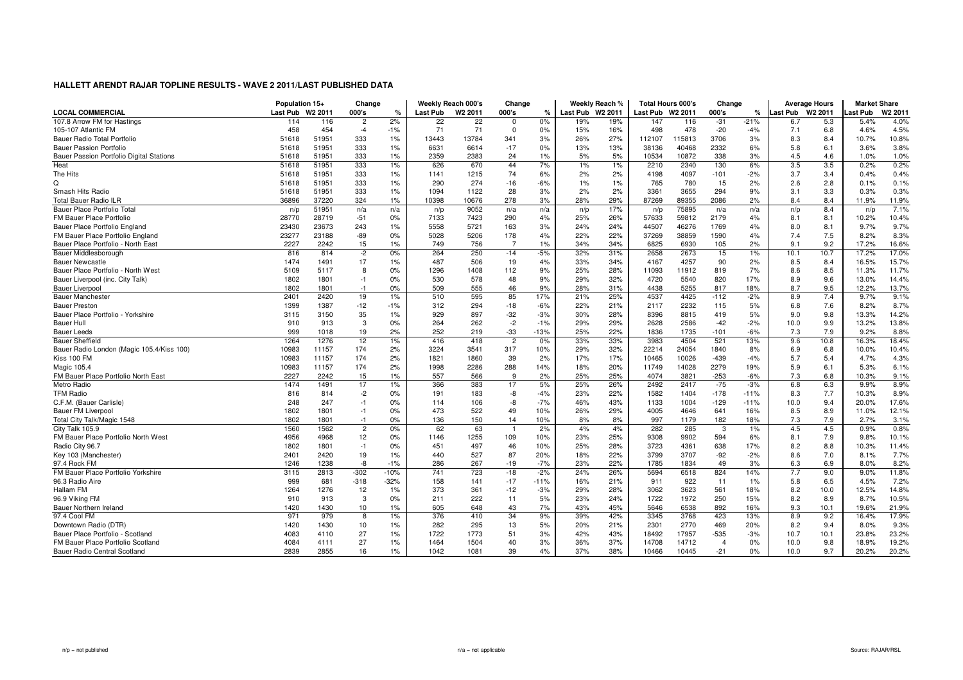| <b>LOCAL COMMERCIAL</b><br>Last Pub<br>W <sub>2</sub> 2011<br>000's<br>Last Pub<br>W <sub>2</sub> 2011<br>000's<br>Last Pub W2 2011<br>Last Pub W2 2011<br>000's<br>Last Pub W2 2011<br>ast Pub<br>%<br>$\frac{9}{6}$<br>℀<br>107.8 Arrow FM for Hastings<br>2%<br>0%<br>19%<br>147<br>$-21%$<br>6.7<br>$\overline{2}$<br>22<br>22<br>19%<br>$-31$<br>5.3<br>114<br>116<br>0<br>116<br>458<br>71<br>$-20$<br>105-107 Atlantic FM<br>454<br>$-4$<br>$-1%$<br>71<br>$\Omega$<br>0%<br>15%<br>16%<br>498<br>478<br>7.1<br>$-4%$<br>6.8<br>51951<br>333<br>1%<br>13784<br>3%<br>27%<br>115813<br>3%<br>8.3<br>Bauer Radio Total Portfolio<br>51618<br>13443<br>341<br>26%<br>112107<br>3706<br>8.4<br>5.8<br><b>Bauer Passion Portfolio</b><br>51618<br>51951<br>333<br>1%<br>6631<br>6614<br>$-17$<br>0%<br>13%<br>13%<br>38136<br>40468<br>2332<br>6%<br>6.1<br>333<br>1%<br>2359<br>2383<br>24<br>5%<br>10872<br>338<br>3%<br>Bauer Passion Portfolio Digital Stations<br>51618<br>51951<br>1%<br>5%<br>10534<br>4.5<br>4.6<br>333<br>3.5<br>3.5<br>Heat<br>51618<br>51951<br>1%<br>626<br>670<br>44<br>7%<br>$1\%$<br>1%<br>2210<br>2340<br>130<br>6% | W <sub>2</sub> 2011<br>4.0%<br>5.4%<br>4.5%<br>4.6%<br>10.8%<br>10.7%<br>3.8%<br>3.6%<br>1.0%<br>1.0%<br>0.2%<br>0.2%<br>0.4%<br>0.4%<br>0.1%<br>0.1%<br>0.3%<br>0.3%<br>11.9%<br>11.9%<br>7.1%<br>n/p |
|-------------------------------------------------------------------------------------------------------------------------------------------------------------------------------------------------------------------------------------------------------------------------------------------------------------------------------------------------------------------------------------------------------------------------------------------------------------------------------------------------------------------------------------------------------------------------------------------------------------------------------------------------------------------------------------------------------------------------------------------------------------------------------------------------------------------------------------------------------------------------------------------------------------------------------------------------------------------------------------------------------------------------------------------------------------------------------------------------------------------------------------------------------|--------------------------------------------------------------------------------------------------------------------------------------------------------------------------------------------------------|
|                                                                                                                                                                                                                                                                                                                                                                                                                                                                                                                                                                                                                                                                                                                                                                                                                                                                                                                                                                                                                                                                                                                                                       |                                                                                                                                                                                                        |
|                                                                                                                                                                                                                                                                                                                                                                                                                                                                                                                                                                                                                                                                                                                                                                                                                                                                                                                                                                                                                                                                                                                                                       |                                                                                                                                                                                                        |
|                                                                                                                                                                                                                                                                                                                                                                                                                                                                                                                                                                                                                                                                                                                                                                                                                                                                                                                                                                                                                                                                                                                                                       |                                                                                                                                                                                                        |
|                                                                                                                                                                                                                                                                                                                                                                                                                                                                                                                                                                                                                                                                                                                                                                                                                                                                                                                                                                                                                                                                                                                                                       |                                                                                                                                                                                                        |
|                                                                                                                                                                                                                                                                                                                                                                                                                                                                                                                                                                                                                                                                                                                                                                                                                                                                                                                                                                                                                                                                                                                                                       |                                                                                                                                                                                                        |
|                                                                                                                                                                                                                                                                                                                                                                                                                                                                                                                                                                                                                                                                                                                                                                                                                                                                                                                                                                                                                                                                                                                                                       |                                                                                                                                                                                                        |
|                                                                                                                                                                                                                                                                                                                                                                                                                                                                                                                                                                                                                                                                                                                                                                                                                                                                                                                                                                                                                                                                                                                                                       |                                                                                                                                                                                                        |
| The Hits<br>51618<br>51951<br>333<br>1%<br>1141<br>1215<br>74<br>6%<br>2%<br>2%<br>4198<br>4097<br>$-2%$<br>3.7<br>3.4<br>$-101$                                                                                                                                                                                                                                                                                                                                                                                                                                                                                                                                                                                                                                                                                                                                                                                                                                                                                                                                                                                                                      |                                                                                                                                                                                                        |
| Q<br>765<br>51951<br>333<br>1%<br>290<br>274<br>$-16$<br>$-6%$<br>1%<br>1%<br>780<br>15<br>2%<br>2.6<br>51618<br>2.8                                                                                                                                                                                                                                                                                                                                                                                                                                                                                                                                                                                                                                                                                                                                                                                                                                                                                                                                                                                                                                  |                                                                                                                                                                                                        |
| Smash Hits Radio<br>51951<br>333<br>1%<br>1094<br>1122<br>28<br>3%<br>2%<br>2%<br>3361<br>3655<br>294<br>9%<br>3.1<br>3.3<br>51618                                                                                                                                                                                                                                                                                                                                                                                                                                                                                                                                                                                                                                                                                                                                                                                                                                                                                                                                                                                                                    |                                                                                                                                                                                                        |
| 1%<br>278<br>29%<br><b>Total Bauer Radio ILR</b><br>36896<br>37220<br>324<br>10398<br>10676<br>3%<br>28%<br>87269<br>89355<br>2086<br>2%<br>8.4<br>8.4                                                                                                                                                                                                                                                                                                                                                                                                                                                                                                                                                                                                                                                                                                                                                                                                                                                                                                                                                                                                |                                                                                                                                                                                                        |
| Bauer Place Portfolio Total<br>51951<br>9052<br>75895<br>8.4<br>n/a<br>17%<br>n/a<br>n/p<br>n/p<br>n/a<br>n/p<br>n/a<br>n/a<br>n/p<br>n/p<br>n/a                                                                                                                                                                                                                                                                                                                                                                                                                                                                                                                                                                                                                                                                                                                                                                                                                                                                                                                                                                                                      |                                                                                                                                                                                                        |
| 28770<br>28719<br>$-51$<br>0%<br>290<br>4%<br>26%<br>59812<br>2179<br>4%<br>8.1<br>FM Bauer Place Portfolio<br>7133<br>7423<br>25%<br>57633<br>8.1                                                                                                                                                                                                                                                                                                                                                                                                                                                                                                                                                                                                                                                                                                                                                                                                                                                                                                                                                                                                    | 10.4%<br>10.2%                                                                                                                                                                                         |
| 5558<br>5721<br>1769<br>Bauer Place Portfolio England<br>23430<br>23673<br>243<br>1%<br>163<br>3%<br>24%<br>24%<br>44507<br>46276<br>4%<br>8.0<br>8.1                                                                                                                                                                                                                                                                                                                                                                                                                                                                                                                                                                                                                                                                                                                                                                                                                                                                                                                                                                                                 | 9.7%<br>9.7%                                                                                                                                                                                           |
| FM Bauer Place Portfolio England<br>23277<br>23188<br>$-89$<br>0%<br>5028<br>5206<br>178<br>22%<br>38859<br>1590<br>4%<br>7.4<br>7.5<br>4%<br>22%<br>37269                                                                                                                                                                                                                                                                                                                                                                                                                                                                                                                                                                                                                                                                                                                                                                                                                                                                                                                                                                                            | 8.2%<br>8.3%                                                                                                                                                                                           |
| $\overline{7}$<br>2227<br>15<br>756<br>9.1<br>9.2<br>Bauer Place Portfolio - North East<br>2242<br>1%<br>749<br>1%<br>34%<br>34%<br>6825<br>6930<br>105<br>2%                                                                                                                                                                                                                                                                                                                                                                                                                                                                                                                                                                                                                                                                                                                                                                                                                                                                                                                                                                                         | 17.2%<br>16.6%                                                                                                                                                                                         |
| Bauer Middlesborough<br>816<br>814<br>$-2$<br>0%<br>264<br>250<br>$-14$<br>$-5%$<br>32%<br>31%<br>2658<br>2673<br>15<br>1%<br>10.1<br>10.7                                                                                                                                                                                                                                                                                                                                                                                                                                                                                                                                                                                                                                                                                                                                                                                                                                                                                                                                                                                                            | 17.0%<br>17.2%                                                                                                                                                                                         |
| 17<br>487<br>4%<br>34%<br>4257<br>2%<br>8.5<br><b>Bauer Newcastle</b><br>1474<br>1491<br>1%<br>506<br>19<br>33%<br>4167<br>90<br>8.4                                                                                                                                                                                                                                                                                                                                                                                                                                                                                                                                                                                                                                                                                                                                                                                                                                                                                                                                                                                                                  | 16.5%<br>15.7%                                                                                                                                                                                         |
| Bauer Place Portfolio - North West<br>5109<br>5117<br>8<br>0%<br>1296<br>1408<br>112<br>9%<br>25%<br>28%<br>11093<br>11912<br>819<br>7%<br>8.6<br>8.5                                                                                                                                                                                                                                                                                                                                                                                                                                                                                                                                                                                                                                                                                                                                                                                                                                                                                                                                                                                                 | 11.7%<br>11.3%                                                                                                                                                                                         |
| 48<br>9%<br>32%<br>5540<br>820<br>17%<br>8.9<br>1802<br>1801<br>0%<br>530<br>578<br>29%<br>4720<br>9.6<br>Bauer Liverpool (inc. City Talk)<br>$-1$                                                                                                                                                                                                                                                                                                                                                                                                                                                                                                                                                                                                                                                                                                                                                                                                                                                                                                                                                                                                    | 14.4%<br>13.0%                                                                                                                                                                                         |
| 1801<br>0%<br>509<br>555<br>46<br>9%<br>28%<br>31%<br>4438<br>5255<br>817<br>18%<br>8.7<br>9.5<br><b>Bauer Liverpool</b><br>1802<br>$-1$                                                                                                                                                                                                                                                                                                                                                                                                                                                                                                                                                                                                                                                                                                                                                                                                                                                                                                                                                                                                              | 12.2%<br>13.7%                                                                                                                                                                                         |
| 4537<br>8.9<br><b>Bauer Manchester</b><br>2401<br>2420<br>19<br>510<br>595<br>85<br>17%<br>21%<br>25%<br>4425<br>$-112$<br>$-2%$<br>7.4<br>1%                                                                                                                                                                                                                                                                                                                                                                                                                                                                                                                                                                                                                                                                                                                                                                                                                                                                                                                                                                                                         | 9.1%<br>9.7%                                                                                                                                                                                           |
| 1387<br>1399<br>$-12$<br>$-1%$<br>$-18$<br>$-6%$<br>21%<br>2232<br>115<br>5%<br>6.8<br><b>Bauer Preston</b><br>312<br>294<br>22%<br>2117<br>7.6                                                                                                                                                                                                                                                                                                                                                                                                                                                                                                                                                                                                                                                                                                                                                                                                                                                                                                                                                                                                       | 8.7%<br>8.2%                                                                                                                                                                                           |
| 3115<br>3150<br>35<br>1%<br>929<br>897<br>$-32$<br>$-3%$<br>30%<br>28%<br>8396<br>8815<br>419<br>5%<br>9.0<br>9.8<br>Bauer Place Portfolio - Yorkshire                                                                                                                                                                                                                                                                                                                                                                                                                                                                                                                                                                                                                                                                                                                                                                                                                                                                                                                                                                                                | 13.3%<br>14.2%                                                                                                                                                                                         |
| 3<br>$-2$<br>$-2%$<br><b>Bauer Hull</b><br>910<br>913<br>0%<br>264<br>262<br>$-1%$<br>29%<br>29%<br>2628<br>2586<br>$-42$<br>10.0<br>9.9                                                                                                                                                                                                                                                                                                                                                                                                                                                                                                                                                                                                                                                                                                                                                                                                                                                                                                                                                                                                              | 13.8%<br>13.2%                                                                                                                                                                                         |
| $-33$<br>7.3<br>999<br>19<br>2%<br>252<br>25%<br>22%<br>1735<br>$-6%$<br>7.9<br><b>Bauer Leeds</b><br>1018<br>219<br>$-13%$<br>1836<br>$-101$                                                                                                                                                                                                                                                                                                                                                                                                                                                                                                                                                                                                                                                                                                                                                                                                                                                                                                                                                                                                         | 9.2%<br>8.8%                                                                                                                                                                                           |
| 1264<br>12<br>1%<br>$\overline{2}$<br>33%<br>33%<br>3983<br>4504<br>521<br>13%<br>9.6<br>10.8<br><b>Bauer Sheffield</b><br>1276<br>416<br>418<br>0%                                                                                                                                                                                                                                                                                                                                                                                                                                                                                                                                                                                                                                                                                                                                                                                                                                                                                                                                                                                                   | 16.3%<br>18.4%                                                                                                                                                                                         |
| Bauer Radio London (Magic 105.4/Kiss 100)<br>10983<br>11157<br>174<br>2%<br>3224<br>3541<br>317<br>10%<br>29%<br>32%<br>22214<br>24054<br>1840<br>8%<br>6.9<br>6.8                                                                                                                                                                                                                                                                                                                                                                                                                                                                                                                                                                                                                                                                                                                                                                                                                                                                                                                                                                                    | 10.4%<br>10.0%                                                                                                                                                                                         |
| 11157<br>2%<br>1860<br>39<br>2%<br>17%<br>10026<br>$-439$<br>$-4%$<br>5.7<br>Kiss 100 FM<br>10983<br>174<br>1821<br>17%<br>10465<br>5.4                                                                                                                                                                                                                                                                                                                                                                                                                                                                                                                                                                                                                                                                                                                                                                                                                                                                                                                                                                                                               | 4.3%<br>4.7%                                                                                                                                                                                           |
| Magic 105.4<br>10983<br>11157<br>2%<br>1998<br>288<br>20%<br>14028<br>2279<br>19%<br>5.9<br>174<br>2286<br>14%<br>18%<br>11749<br>6.1                                                                                                                                                                                                                                                                                                                                                                                                                                                                                                                                                                                                                                                                                                                                                                                                                                                                                                                                                                                                                 | 5.3%<br>6.1%                                                                                                                                                                                           |
| FM Bauer Place Portfolio North East<br>2227<br>2242<br>15<br>1%<br>557<br>566<br>9<br>2%<br>25%<br>25%<br>4074<br>3821<br>$-253$<br>$-6%$<br>7.3<br>6.8                                                                                                                                                                                                                                                                                                                                                                                                                                                                                                                                                                                                                                                                                                                                                                                                                                                                                                                                                                                               | 10.3%<br>9.1%                                                                                                                                                                                          |
| Metro Radio<br>1474<br>1491<br>17<br>1%<br>366<br>383<br>17<br>5%<br>25%<br>26%<br>2492<br>2417<br>$-75$<br>$-3%$<br>6.8<br>6.3                                                                                                                                                                                                                                                                                                                                                                                                                                                                                                                                                                                                                                                                                                                                                                                                                                                                                                                                                                                                                       | 8.9%<br>9.9%                                                                                                                                                                                           |
| 22%<br><b>TFM Radio</b><br>816<br>814<br>$-2$<br>0%<br>-8<br>$-4%$<br>23%<br>1582<br>1404<br>$-178$<br>$-11%$<br>8.3<br>7.7<br>191<br>183                                                                                                                                                                                                                                                                                                                                                                                                                                                                                                                                                                                                                                                                                                                                                                                                                                                                                                                                                                                                             | 8.9%<br>10.3%                                                                                                                                                                                          |
| -8<br>$-7%$<br>43%<br>C.F.M. (Bauer Carlisle)<br>248<br>247<br>$-1$<br>0%<br>106<br>46%<br>1133<br>1004<br>$-129$<br>$-11%$<br>10.0<br>9.4<br>114                                                                                                                                                                                                                                                                                                                                                                                                                                                                                                                                                                                                                                                                                                                                                                                                                                                                                                                                                                                                     | 17.6%<br>20.0%                                                                                                                                                                                         |
| 1802<br>1801<br>473<br>522<br>49<br>29%<br>4005<br>4646<br>8.5<br>8.9<br><b>Bauer FM Liverpool</b><br>$-1$<br>0%<br>10%<br>26%<br>641<br>16%                                                                                                                                                                                                                                                                                                                                                                                                                                                                                                                                                                                                                                                                                                                                                                                                                                                                                                                                                                                                          | 12.1%<br>11.0%                                                                                                                                                                                         |
| Total City Talk/Magic 1548<br>1802<br>1801<br>0%<br>136<br>150<br>14<br>10%<br>8%<br>8%<br>997<br>1179<br>182<br>18%<br>7.3<br>7.9<br>$-1$                                                                                                                                                                                                                                                                                                                                                                                                                                                                                                                                                                                                                                                                                                                                                                                                                                                                                                                                                                                                            | 3.1%<br>2.7%                                                                                                                                                                                           |
| City Talk 105.9<br>1560<br>1562<br>62<br>63<br>2%<br>282<br>285<br>4.5<br>4.5<br>$\overline{2}$<br>0%<br>4%<br>4%<br>3<br>1%                                                                                                                                                                                                                                                                                                                                                                                                                                                                                                                                                                                                                                                                                                                                                                                                                                                                                                                                                                                                                          | 0.9%<br>0.8%                                                                                                                                                                                           |
| FM Bauer Place Portfolio North West<br>4956<br>4968<br>12<br>0%<br>1255<br>109<br>23%<br>25%<br>9308<br>9902<br>6%<br>8.1<br>7.9<br>1146<br>10%<br>594                                                                                                                                                                                                                                                                                                                                                                                                                                                                                                                                                                                                                                                                                                                                                                                                                                                                                                                                                                                                | 9.8%<br>10.1%                                                                                                                                                                                          |
| Radio City 96.7<br>1802<br>1801<br>$-1$<br>0%<br>451<br>497<br>46<br>10%<br>25%<br>28%<br>3723<br>4361<br>638<br>17%<br>8.2<br>8.8                                                                                                                                                                                                                                                                                                                                                                                                                                                                                                                                                                                                                                                                                                                                                                                                                                                                                                                                                                                                                    | 10.3%<br>11.4%                                                                                                                                                                                         |
| 87<br>2401<br>2420<br>19<br>1%<br>527<br>20%<br>22%<br>3799<br>3707<br>$-92$<br>$-2%$<br>8.6<br>7.0<br>Key 103 (Manchester)<br>440<br>18%                                                                                                                                                                                                                                                                                                                                                                                                                                                                                                                                                                                                                                                                                                                                                                                                                                                                                                                                                                                                             | 7.7%<br>8.1%                                                                                                                                                                                           |
| 97.4 Rock FM<br>1238<br>-8<br>$-1%$<br>267<br>$-7%$<br>22%<br>1834<br>49<br>3%<br>6.3<br>6.9<br>1246<br>286<br>$-19$<br>23%<br>1785                                                                                                                                                                                                                                                                                                                                                                                                                                                                                                                                                                                                                                                                                                                                                                                                                                                                                                                                                                                                                   | 8.2%<br>8.0%                                                                                                                                                                                           |
| FM Bauer Place Portfolio Yorkshire<br>2813<br>$-302$<br>$-10%$<br>741<br>723<br>$-2%$<br>26%<br>5694<br>6518<br>824<br>7.7<br>9.0<br>3115<br>$-18$<br>24%<br>14%                                                                                                                                                                                                                                                                                                                                                                                                                                                                                                                                                                                                                                                                                                                                                                                                                                                                                                                                                                                      | 11.8%<br>9.0%                                                                                                                                                                                          |
| 999<br>922<br>5.8<br>96.3 Radio Aire<br>681<br>$-318$<br>$-32%$<br>158<br>141<br>$-17$<br>$-11%$<br>16%<br>21%<br>911<br>11<br>1%<br>6.5                                                                                                                                                                                                                                                                                                                                                                                                                                                                                                                                                                                                                                                                                                                                                                                                                                                                                                                                                                                                              | 4.5%<br>7.2%                                                                                                                                                                                           |
| Hallam FM<br>1276<br>373<br>$-3%$<br>28%<br>3623<br>561<br>8.2<br>10.0<br>1264<br>12<br>1%<br>361<br>$-12$<br>29%<br>3062<br>18%                                                                                                                                                                                                                                                                                                                                                                                                                                                                                                                                                                                                                                                                                                                                                                                                                                                                                                                                                                                                                      | 12.5%<br>14.8%                                                                                                                                                                                         |
| 96.9 Viking FM<br>910<br>913<br>3<br>0%<br>211<br>222<br>11<br>5%<br>23%<br>24%<br>1722<br>1972<br>250<br>15%<br>8.2<br>8.9                                                                                                                                                                                                                                                                                                                                                                                                                                                                                                                                                                                                                                                                                                                                                                                                                                                                                                                                                                                                                           | 10.5%<br>8.7%                                                                                                                                                                                          |
| 605<br>43<br>7%<br>45%<br>6538<br>892<br>9.3<br>10.1<br>Bauer Northern Ireland<br>1420<br>1430<br>10<br>1%<br>648<br>43%<br>5646<br>16%                                                                                                                                                                                                                                                                                                                                                                                                                                                                                                                                                                                                                                                                                                                                                                                                                                                                                                                                                                                                               | 19.6%<br>21.9%                                                                                                                                                                                         |
| 97.4 Cool FM<br>979<br>34<br>39%<br>42%<br>3345<br>3768<br>8.9<br>9.2<br>971<br>1%<br>376<br>410<br>9%<br>423<br>13%<br>8                                                                                                                                                                                                                                                                                                                                                                                                                                                                                                                                                                                                                                                                                                                                                                                                                                                                                                                                                                                                                             | 17.9%<br>16.4%                                                                                                                                                                                         |
| 5%<br>2770<br>8.2<br>1420<br>1430<br>10<br>1%<br>282<br>295<br>13<br>21%<br>2301<br>469<br>20%<br>9.4<br>Downtown Radio (DTR)<br>20%                                                                                                                                                                                                                                                                                                                                                                                                                                                                                                                                                                                                                                                                                                                                                                                                                                                                                                                                                                                                                  | 9.3%<br>8.0%                                                                                                                                                                                           |
| 4083<br>27<br>1722<br>1773<br>51<br>17957<br>$-535$<br>Bauer Place Portfolio - Scotland<br>4110<br>1%<br>3%<br>42%<br>43%<br>18492<br>$-3%$<br>10.7<br>10.1                                                                                                                                                                                                                                                                                                                                                                                                                                                                                                                                                                                                                                                                                                                                                                                                                                                                                                                                                                                           | 23.2%<br>23.8%                                                                                                                                                                                         |
| FM Bauer Place Portfolio Scotland<br>4084<br>4111<br>27<br>1%<br>1464<br>1504<br>40<br>3%<br>37%<br>14708<br>14712<br>0%<br>10.0<br>9.8<br>36%<br>$\overline{4}$                                                                                                                                                                                                                                                                                                                                                                                                                                                                                                                                                                                                                                                                                                                                                                                                                                                                                                                                                                                      | 19.2%<br>18.9%                                                                                                                                                                                         |
| 2855<br>39<br>Bauer Radio Central Scotland<br>2839<br>16<br>1%<br>1042<br>1081<br>4%<br>37%<br>38%<br>10445<br>$-21$<br>0%<br>10.0<br>9.7<br>10466                                                                                                                                                                                                                                                                                                                                                                                                                                                                                                                                                                                                                                                                                                                                                                                                                                                                                                                                                                                                    | 20.2%<br>20.2%                                                                                                                                                                                         |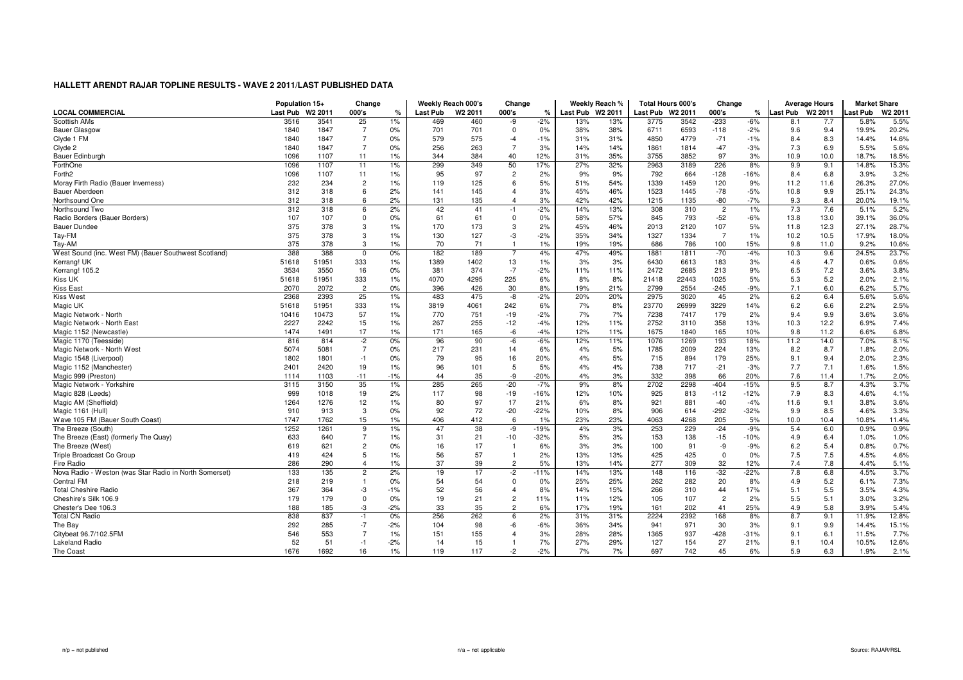|                                                        | Population 15+  |                     | Change         |       |          | Weekly Reach 000's  | Change         |               |                  | Weekly Reach % |          | <b>Total Hours 000's</b> | Change         |        |          | <b>Average Hours</b> | <b>Market Share</b> |                     |
|--------------------------------------------------------|-----------------|---------------------|----------------|-------|----------|---------------------|----------------|---------------|------------------|----------------|----------|--------------------------|----------------|--------|----------|----------------------|---------------------|---------------------|
| <b>LOCAL COMMERCIAL</b>                                | <b>Last Pub</b> | W <sub>2</sub> 2011 | 000's          | %     | Last Pub | W <sub>2</sub> 2011 | 000's          | $\frac{9}{6}$ | Last Pub W2 2011 |                | Last Pub | W <sub>2</sub> 2011      | 000's          | ℀      | ast Pub. | W <sub>2</sub> 2011  | ast Pub             | W <sub>2</sub> 2011 |
| Scottish AMs                                           | 3516            | 3541                | 25             | 1%    | 469      | 460                 | -9             | $-2%$         | 13%              | 13%            | 3775     | 3542                     | $-233$         | $-6%$  | 8.1      | 7.7                  | 5.8%                | 5.5%                |
| <b>Bauer Glasgow</b>                                   | 1840            | 1847                | $\overline{7}$ | 0%    | 701      | 701                 | $\mathbf 0$    | 0%            | 38%              | 38%            | 6711     | 6593                     | $-118$         | $-2%$  | 9.6      | 9.4                  | 19.9%               | 20.2%               |
| Clyde 1 FM                                             | 1840            | 1847                | $\overline{7}$ | 0%    | 579      | 575                 | $-4$           | $-1%$         | 31%              | 31%            | 4850     | 4779                     | $-71$          | $-1%$  | 8.4      | 8.3                  | 14.4%               | 14.6%               |
| Clyde 2                                                | 1840            | 1847                | $\overline{7}$ | 0%    | 256      | 263                 | $\overline{7}$ | 3%            | 14%              | 14%            | 1861     | 1814                     | $-47$          | $-3%$  | 7.3      | 6.9                  | 5.5%                | 5.6%                |
| Bauer Edinburgh                                        | 1096            | 1107                | 11             | 1%    | 344      | 384                 | 40             | 12%           | 31%              | 35%            | 3755     | 3852                     | 97             | 3%     | 10.9     | 10.0                 | 18.7%               | 18.5%               |
| ForthOne                                               | 1096            | 1107                | 11             | 1%    | 299      | 349                 | 50             | 17%           | 27%              | 32%            | 2963     | 3189                     | 226            | 8%     | 9.9      | 9.1                  | 14.8%               | 15.3%               |
| Forth <sub>2</sub>                                     | 1096            | 1107                | 11             | 1%    | 95       | 97                  | $\overline{2}$ | 2%            | 9%               | 9%             | 792      | 664                      | $-128$         | $-16%$ | 8.4      | 6.8                  | 3.9%                | 3.2%                |
| Moray Firth Radio (Bauer Inverness)                    | 232             | 234                 | $\overline{c}$ | 1%    | 119      | 125                 | 6              | 5%            | 51%              | 54%            | 1339     | 1459                     | 120            | 9%     | 11.2     | 11.6                 | 26.3%               | 27.0%               |
| <b>Bauer Aberdeen</b>                                  | 312             | 318                 | 6              | 2%    | 141      | 145                 | $\overline{4}$ | 3%            | 45%              | 46%            | 1523     | 1445                     | $-78$          | $-5%$  | 10.8     | 9.9                  | 25.1%               | 24.3%               |
| Northsound One                                         | 312             | 318                 | 6              | 2%    | 131      | 135                 | $\overline{4}$ | 3%            | 42%              | 42%            | 1215     | 1135                     | -80            | $-7%$  | 9.3      | 8.4                  | 20.0%               | 19.1%               |
| Northsound Two                                         | 312             | 318                 | 6              | 2%    | 42       | 41                  | $-1$           | $-2%$         | 14%              | 13%            | 308      | 310                      | $\overline{c}$ | 1%     | 7.3      | 7.6                  | 5.1%                | 5.2%                |
| Radio Borders (Bauer Borders)                          | 107             | 107                 | 0              | 0%    | 61       | 61                  | $\mathbf 0$    | 0%            | 58%              | 57%            | 845      | 793                      | $-52$          | $-6%$  | 13.8     | 13.0                 | 39.1%               | 36.0%               |
| <b>Bauer Dundee</b>                                    | 375             | 378                 | 3              | 1%    | 170      | 173                 | 3              | 2%            | 45%              | 46%            | 2013     | 2120                     | 107            | 5%     | 11.8     | 12.3                 | 27.1%               | 28.7%               |
| Tay-FM                                                 | 375             | 378                 | 3              | 1%    | 130      | 127                 | -3             | $-2%$         | 35%              | 34%            | 1327     | 1334                     | $\overline{7}$ | 1%     | 10.2     | 10.5                 | 17.9%               | 18.0%               |
| Tay-AM                                                 | 375             | 378                 | 3              | 1%    | 70       | 71                  |                | 1%            | 19%              | 19%            | 686      | 786                      | 100            | 15%    | 9.8      | 11.0                 | 9.2%                | 10.6%               |
| West Sound (inc. West FM) (Bauer Southwest Scotland)   | 388             | 388                 | $\Omega$       | 0%    | 182      | 189                 | $\overline{7}$ | 4%            | 47%              | 49%            | 1881     | 1811                     | $-70$          | $-4%$  | 10.3     | 9.6                  | 24.5%               | 23.7%               |
| Kerrang! UK                                            | 51618           | 51951               | 333            | 1%    | 1389     | 1402                | 13             | 1%            | 3%               | 3%             | 6430     | 6613                     | 183            | 3%     | 4.6      | 4.7                  | 0.6%                | 0.6%                |
| Kerrang! 105.2                                         | 3534            | 3550                | 16             | 0%    | 381      | 374                 | $-7$           | $-2%$         | 11%              | 11%            | 2472     | 2685                     | 213            | 9%     | 6.5      | 7.2                  | 3.6%                | 3.8%                |
| Kiss UK                                                | 51618           | 51951               | 333            | 1%    | 4070     | 4295                | 225            | 6%            | 8%               | 8%             | 21418    | 22443                    | 1025           | 5%     | 5.3      | 5.2                  | 2.0%                | 2.1%                |
| <b>Kiss East</b>                                       | 2070            | 2072                | $\mathcal{P}$  | 0%    | 396      | 426                 | 30             | 8%            | 19%              | 21%            | 2799     | 2554                     | $-245$         | $-9%$  | 7.1      | 6.0                  | 6.2%                | 5.7%                |
| <b>Kiss West</b>                                       | 2368            | 2393                | 25             | 1%    | 483      | 475                 | -8             | $-2%$         | 20%              | 20%            | 2975     | 3020                     | 45             | 2%     | 6.2      | 6.4                  | 5.6%                | 5.6%                |
| Magic UK                                               | 51618           | 51951               | 333            | 1%    | 3819     | 4061                | 242            | 6%            | 7%               | 8%             | 23770    | 26999                    | 3229           | 14%    | 6.2      | 6.6                  | 2.2%                | 2.5%                |
| Magic Network - North                                  | 10416           | 10473               | 57             | 1%    | 770      | 751                 | $-19$          | $-2%$         | 7%               | 7%             | 7238     | 7417                     | 179            | 2%     | 9.4      | 9.9                  | 3.6%                | 3.6%                |
| Magic Network - North East                             | 2227            | 2242                | 15             | 1%    | 267      | 255                 | $-12$          | $-4%$         | 12%              | 11%            | 2752     | 3110                     | 358            | 13%    | 10.3     | 12.2                 | 6.9%                | 7.4%                |
| Magic 1152 (Newcastle)                                 | 1474            | 1491                | 17             | 1%    | 171      | 165                 | -6             | $-4%$         | 12%              | 11%            | 1675     | 1840                     | 165            | 10%    | 9.8      | 11.2                 | 6.6%                | 6.8%                |
| Magic 1170 (Teesside)                                  | 816             | 814                 | $-2$           | 0%    | 96       | 90                  | -6             | $-6%$         | 12%              | 11%            | 1076     | 1269                     | 193            | 18%    | 11.2     | 14.0                 | 7.0%                | 8.1%                |
| Magic Network - North West                             | 5074            | 5081                | $\overline{7}$ | 0%    | 217      | 231                 | 14             | 6%            | 4%               | 5%             | 1785     | 2009                     | 224            | 13%    | 8.2      | 8.7                  | 1.8%                | 2.0%                |
| Magic 1548 (Liverpool)                                 | 1802            | 1801                | $-1$           | 0%    | 79       | 95                  | 16             | 20%           | 4%               | 5%             | 715      | 894                      | 179            | 25%    | 9.1      | 9.4                  | 2.0%                | 2.3%                |
| Magic 1152 (Manchester)                                | 2401            | 2420                | 19             | 1%    | 96       | 101                 | 5              | 5%            | 4%               | 4%             | 738      | 717                      | $-21$          | $-3%$  | 7.7      | 7.1                  | 1.6%                | 1.5%                |
| Magic 999 (Preston                                     | 1114            | 1103                | $-11$          | $-1%$ | 44       | 35                  | -9             | $-20%$        | 4%               | 3%             | 332      | 398                      | 66             | 20%    | 7.6      | 11.4                 | 1.7%                | 2.0%                |
| Magic Network - Yorkshire                              | 3115            | 3150                | 35             | 1%    | 285      | 265                 | $-20$          | $-7%$         | 9%               | 8%             | 2702     | 2298                     | $-404$         | $-15%$ | 9.5      | 8.7                  | 4.3%                | 3.7%                |
| Magic 828 (Leeds)                                      | 999             | 1018                | 19             | 2%    | 117      | 98                  | $-19$          | $-16%$        | 12%              | 10%            | 925      | 813                      | $-112$         | $-12%$ | 7.9      | 8.3                  | 4.6%                | 4.1%                |
| Magic AM (Sheffield)                                   | 1264            | 1276                | 12             | 1%    | 80       | 97                  | 17             | 21%           | 6%               | 8%             | 921      | 881                      | $-40$          | $-4%$  | 11.6     | 9.1                  | 3.8%                | 3.6%                |
| Magic 1161 (Hull)                                      | 910             | 913                 | 3              | 0%    | 92       | 72                  | $-20$          | $-22%$        | 10%              | 8%             | 906      | 614                      | $-292$         | 32%    | 9.9      | 8.5                  | 4.6%                | 3.3%                |
| Wave 105 FM (Bauer South Coast)                        | 1747            | 1762                | 15             | 1%    | 406      | 412                 | 6              | 1%            | 23%              | 23%            | 4063     | 4268                     | 205            | 5%     | 10.0     | 10.4                 | 10.8%               | 11.4%               |
| The Breeze (South)                                     | 1252            | 1261                | 9              | 1%    | 47       | 38                  | -9             | $-19%$        | 4%               | 3%             | 253      | 229                      | $-24$          | $-9%$  | 5.4      | 6.0                  | 0.9%                | 0.9%                |
| The Breeze (East) (formerly The Quay)                  | 633             | 640                 | $\overline{7}$ | 1%    | 31       | 21                  | -10            | $-32%$        | 5%               | 3%             | 153      | 138                      | $-15$          | -10%   | 4.9      | 6.4                  | 1.0%                | 1.0%                |
| The Breeze (West)                                      | 619             | 621                 | $\overline{c}$ | 0%    | 16       | 17                  | $\overline{1}$ | 6%            | 3%               | 3%             | 100      | 91                       | -9             | $-9%$  | 6.2      | 5.4                  | 0.8%                | 0.7%                |
| Triple Broadcast Co Group                              | 419             | 424                 | 5              | 1%    | 56       | 57                  | 1              | 2%            | 13%              | 13%            | 425      | 425                      | $\mathbf 0$    | 0%     | 7.5      | 7.5                  | 4.5%                | 4.6%                |
| Fire Radio                                             | 286             | 290                 | $\overline{4}$ | 1%    | 37       | 39                  | $\overline{2}$ | 5%            | 13%              | 14%            | 277      | 309                      | 32             | 12%    | 7.4      | 7.8                  | 4.4%                | 5.1%                |
| Nova Radio - Weston (was Star Radio in North Somerset) | 133             | 135                 | $\overline{c}$ | 2%    | 19       | 17                  | $-2$           | $-11%$        | 14%              | 13%            | 148      | 116                      | $-32$          | $-22%$ | 7.8      | 6.8                  | 4.5%                | 3.7%                |
| <b>Central FM</b>                                      | 218             | 219                 | $\overline{1}$ | 0%    | 54       | 54                  | 0              | 0%            | 25%              | 25%            | 262      | 282                      | 20             | 8%     | 4.9      | 5.2                  | 6.1%                | 7.3%                |
| <b>Total Cheshire Radio</b>                            | 367             | 364                 | -3             | -1%   | 52       | 56                  | $\overline{4}$ | 8%            | 14%              | 15%            | 266      | 310                      | 44             | 17%    | 5.1      | 5.5                  | 3.5%                | 4.3%                |
| Cheshire's Silk 106.9                                  | 179             | 179                 | $\mathbf 0$    | 0%    | 19       | 21                  | $\overline{c}$ | 11%           | 11%              | 12%            | 105      | 107                      | $\overline{c}$ | 2%     | 5.5      | 5.1                  | 3.0%                | 3.2%                |
| Chester's Dee 106.3                                    | 188             | 185                 | -3             | $-2%$ | 33       | 35                  | $\overline{2}$ | 6%            | 17%              | 19%            | 161      | 202                      | 41             | 25%    | 4.9      | 5.8                  | 3.9%                | 5.4%                |
| <b>Total CN Radio</b>                                  | 838             | 837                 | $-1$           | 0%    | 256      | 262                 | 6              | 2%            | 31%              | 31%            | 2224     | 2392                     | 168            | 8%     | 8.7      | 9.1                  | 11.9%               | 12.8%               |
|                                                        | 292             | 285                 | $-7$           | $-2%$ | 104      | 98                  | $-6$           |               |                  | 34%            | 941      | 971                      | 30             | 3%     | 9.1      |                      | 14.4%               | 15.1%               |
| The Bay                                                | 546             | 553                 | $\overline{7}$ | 1%    | 151      |                     | $\overline{4}$ | -6%<br>3%     | 36%<br>28%       | 28%            |          | 937                      | $-428$         | -31%   | 9.1      | 9.9<br>6.1           | 11.5%               | 7.7%                |
| Citybeat 96.7/102.5FM<br><b>Lakeland Radio</b>         | 52              | 51                  |                | $-2%$ |          | 155                 | $\overline{1}$ | 7%            |                  |                | 1365     |                          | 27             |        | 9.1      |                      | 10.5%               | 12.6%               |
|                                                        |                 |                     | $-1$           |       | 14       | 15                  |                |               | 27%              | 29%            | 127      | 154                      |                | 21%    |          | 10.4                 |                     |                     |
| The Coast                                              | 1676            | 1692                | 16             | 1%    | 119      | 117                 | $-2$           | $-2%$         | 7%               | 7%             | 697      | 742                      | 45             | 6%     | 5.9      | 6.3                  | 1.9%                | 2.1%                |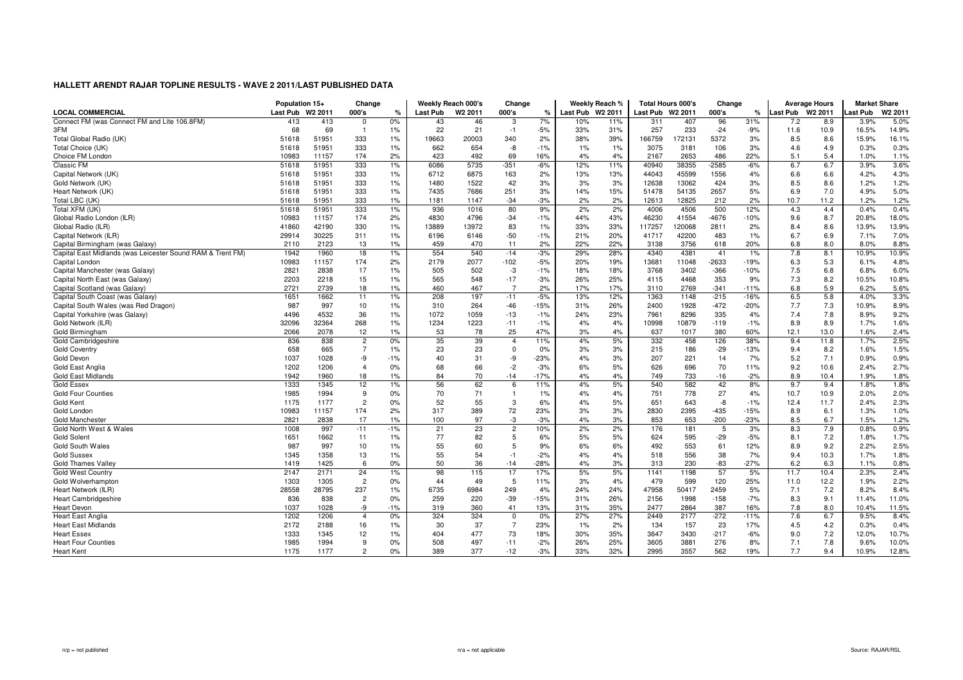|                                                            | Population 15+ |                     | Change         |               |          | Weekly Reach 000's  | Change         |        |                  | Weekly Reach % |                  | <b>Total Hours 000's</b> | Change  |               |          | <b>Average Hours</b> | <b>Market Share</b> |        |
|------------------------------------------------------------|----------------|---------------------|----------------|---------------|----------|---------------------|----------------|--------|------------------|----------------|------------------|--------------------------|---------|---------------|----------|----------------------|---------------------|--------|
| <b>LOCAL COMMERCIAL</b>                                    | Last Pub       | W <sub>2</sub> 2011 | 000's          | $\frac{1}{c}$ | Last Pub | W <sub>2</sub> 2011 | 000's          | %      | Last Pub W2 2011 |                | Last Pub W2 2011 |                          | 000's   | $\frac{9}{6}$ | ast Pub. | W2 2011              | ast Pub             | W2 201 |
| Connect FM (was Connect FM and Lite 106.8FM)               | 413            | 413                 | $\Omega$       | 0%            | 43       | 46                  | 3              | 7%     | 10%              | 11%            | 311              | 407                      | 96      | 31%           | 7.2      | 8.9                  | 3.9%                | 5.0%   |
| 3FM                                                        | 68             | 69                  |                | 1%            | 22       | 21                  | $-1$           | $-5%$  | 33%              | 31%            | 257              | 233                      | $-24$   | $-9%$         | 11.6     | 10.9                 | 16.5%               | 14.9%  |
| Total Global Radio (UK)                                    | 51618          | 51951               | 333            | 1%            | 19663    | 20003               | 340            | 2%     | 38%              | 39%            | 166759           | 172131                   | 5372    | 3%            | 8.5      | 8.6                  | 15.9%               | 16.1%  |
| Total Choice (UK)                                          | 51618          | 51951               | 333            | 1%            | 662      | 654                 | -8             | $-1%$  | $1\%$            | 1%             | 3075             | 3181                     | 106     | 3%            | 4.6      | 4.9                  | 0.3%                | 0.3%   |
| Choice FM London                                           | 10983          | 11157               | 174            | 2%            | 423      | 492                 | 69             | 16%    | 4%               | 4%             | 2167             | 2653                     | 486     | 22%           | 5.1      | 5.4                  | 1.0%                | 1.1%   |
| Classic FM                                                 | 51618          | 51951               | 333            | 1%            | 6086     | 5735                | $-351$         | -6%    | 12%              | 11%            | 40940            | 38355                    | $-2585$ | $-6%$         | 6.7      | 6.7                  | 3.9%                | 3.6%   |
| Capital Network (UK)                                       | 51618          | 51951               | 333            | 1%            | 6712     | 6875                | 163            | 2%     | 13%              | 13%            | 44043            | 45599                    | 1556    | 4%            | 6.6      | 6.6                  | 4.2%                | 4.3%   |
| Gold Network (UK)                                          | 51618          | 51951               | 333            | 1%            | 1480     | 1522                | 42             | 3%     | 3%               | 3%             | 12638            | 13062                    | 424     | 3%            | 8.5      | 8.6                  | 1.2%                | 1.2%   |
| Heart Network (UK)                                         | 51618          | 51951               | 333            | 1%            | 7435     | 7686                | 251            | 3%     | 14%              | 15%            | 51478            | 54135                    | 2657    | 5%            | 6.9      | 7.0                  | 4.9%                | 5.0%   |
| Total LBC (UK)                                             | 51618          | 51951               | 333            | 1%            | 1181     | 1147                | $-34$          | $-3%$  | 2%               | 2%             | 12613            | 12825                    | 212     | 2%            | 10.7     | 11.2                 | 1.2%                | 1.2%   |
| Total XFM (UK)                                             | 51618          | 51951               | 333            | 1%            | 936      | 1016                | 80             | 9%     | 2%               | 2%             | 4006             | 4506                     | 500     | 12%           | 4.3      | 4.4                  | 0.4%                | 0.4%   |
| Global Radio London (ILR)                                  | 10983          | 11157               | 174            | 2%            | 4830     | 4796                | $-34$          | $-1%$  | 44%              | 43%            | 46230            | 41554                    | $-4676$ | $-10%$        | 9.6      | 8.7                  | 20.8%               | 18.0%  |
| Global Radio (ILR)                                         | 41860          | 42190               | 330            | 1%            | 13889    | 13972               | 83             | 1%     | 33%              | 33%            | 117257           | 120068                   | 2811    | 2%            | 8.4      | 8.6                  | 13.9%               | 13.9%  |
| Capital Network (ILR)                                      | 29914          | 30225               | 311            | 1%            | 6196     | 6146                | $-50$          | $-1%$  | 21%              | 20%            | 41717            | 42200                    | 483     | 1%            | 6.7      | 6.9                  | 7.1%                | 7.0%   |
| Capital Birmingham (was Galaxy)                            | 2110           | 2123                | 13             | 1%            | 459      | 470                 | 11             | 2%     | 22%              | 22%            | 3138             | 3756                     | 618     | 20%           | 6.8      | 8.0                  | 8.0%                | 8.8%   |
| Capital East Midlands (was Leicester Sound RAM & Trent FM) | 1942           | 1960                | 18             | 1%            | 554      | 540                 | $-14$          | $-3%$  | 29%              | 28%            | 4340             | 4381                     | 41      | 1%            | 7.8      | 8.1                  | 10.9%               | 10.9%  |
| Capital London                                             | 10983          | 11157               | 174            | 2%            | 2179     | 2077                | $-102$         | $-5%$  | 20%              | 19%            | 13681            | 11048                    | $-2633$ | $-19%$        | 6.3      | 5.3                  | 6.1%                | 4.8%   |
| Capital Manchester (was Galaxy)                            | 2821           | 2838                | 17             | 1%            | 505      | 502                 | -3             | $-1%$  | 18%              | 18%            | 3768             | 3402                     | $-366$  | $-10%$        | 7.5      | 6.8                  | 6.8%                | 6.0%   |
| Capital North East (was Galaxy)                            | 2203           | 2218                | 15             | 1%            | 565      | 548                 | $-17$          | $-3%$  | 26%              | 25%            | 4115             | 4468                     | 353     | 9%            | 7.3      | 8.2                  | 10.5%               | 10.8%  |
| Capital Scotland (was Galaxy)                              | 2721           | 2739                | 18             | 1%            | 460      | 467                 | $\overline{7}$ | 2%     | 17%              | 17%            | 3110             | 2769                     | $-341$  | $-11%$        | 6.8      | 5.9                  | 6.2%                | 5.6%   |
| Capital South Coast (was Galaxy)                           | 1651           | 1662                | 11             | 1%            | 208      | 197                 | $-11$          | $-5%$  | 13%              | 12%            | 1363             | 1148                     | $-215$  | $-16%$        | 6.5      | 5.8                  | 4.0%                | 3.3%   |
| Capital South Wales (was Red Dragon)                       | 987            | 997                 | 10             | 1%            | 310      | 264                 | $-46$          | $-15%$ | 31%              | 26%            | 2400             | 1928                     | $-472$  | $-20%$        | 7.7      | 7.3                  | 10.9%               | 8.9%   |
| Capital Yorkshire (was Galaxy)                             | 4496           | 4532                | 36             | 1%            | 1072     | 1059                | $-13$          | $-1%$  | 24%              | 23%            | 7961             | 8296                     | 335     | 4%            | 7.4      | 7.8                  | 8.9%                | 9.2%   |
| Gold Network (ILR)                                         | 32096          | 32364               | 268            | 1%            | 1234     | 1223                | $-11$          | $-1%$  | 4%               | 4%             | 10998            | 10879                    | $-119$  | $-1%$         | 8.9      | 8.9                  | 1.7%                | 1.6%   |
| Gold Birmingham                                            | 2066           | 2078                | 12             | 1%            | 53       | 78                  | 25             | 47%    | 3%               | 4%             | 637              | 1017                     | 380     | 60%           | 12.1     | 13.0                 | 1.6%                | 2.4%   |
| Gold Cambridgeshire                                        | 836            | 838                 | $\overline{c}$ | 0%            | 35       | 39                  | $\overline{4}$ | 11%    | 4%               | 5%             | 332              | 458                      | 126     | 38%           | 9.4      | 11.8                 | 1.7%                | 2.5%   |
| <b>Gold Coventry</b>                                       | 658            | 665                 | $\overline{7}$ | 1%            | 23       | 23                  | $\mathbf 0$    | 0%     | 3%               | 3%             | 215              | 186                      | $-29$   | $-13%$        | 9.4      | 8.2                  | 1.6%                | 1.5%   |
| Gold Devon                                                 | 1037           | 1028                | -9             | $-1%$         | 40       | 31                  | -9             | $-23%$ | 4%               | 3%             | 207              | 221                      | 14      | 7%            | 5.2      | 7.1                  | 0.9%                | 0.9%   |
| Gold East Anglia                                           | 1202           | 1206                | $\overline{4}$ | 0%            | 68       | 66                  | $-2$           | $-3%$  | 6%               | 5%             | 626              | 696                      | 70      | 11%           | 9.2      | 10.6                 | 2.4%                | 2.7%   |
| <b>Gold East Midlands</b>                                  | 1942           | 1960                | 18             | 1%            | 84       | 70                  | $-14$          | $-17%$ | 4%               | 4%             | 749              | 733                      | $-16$   | $-2%$         | 8.9      | 10.4                 | 1.9%                | 1.8%   |
| Gold Essex                                                 | 1333           | 1345                | 12             | 1%            | 56       | 62                  | 6              | 11%    | 4%               | 5%             | 540              | 582                      | 42      | 8%            | 9.7      | 9.4                  | 1.8%                | 1.8%   |
| <b>Gold Four Counties</b>                                  | 1985           | 1994                | 9              | 0%            | 70       | 71                  | $\overline{1}$ | 1%     | 4%               | 4%             | 751              | 778                      | 27      | 4%            | 10.7     | 10.9                 | 2.0%                | 2.0%   |
| Gold Kent                                                  | 1175           | 1177                | $\overline{c}$ | 0%            | 52       | 55                  | 3              | 6%     | 4%               | 5%             | 651              | 643                      | -8      | $-1%$         | 12.4     | 11.7                 | 2.4%                | 2.3%   |
| Gold London                                                | 10983          | 11157               | 174            | 2%            | 317      | 389                 | 72             | 23%    | 3%               | 3%             | 2830             | 2395                     | $-435$  | $-15%$        | 8.9      | 6.1                  | 1.3%                | 1.0%   |
| <b>Gold Manchester</b>                                     | 2821           | 2838                | 17             | 1%            | 100      | 97                  | $-3$           | $-3%$  | 4%               | 3%             | 853              | 653                      | $-200$  | $-23%$        | 8.5      | 6.7                  | 1.5%                | 1.2%   |
| Gold North West & Wales                                    | 1008           | 997                 | $-11$          | $-1%$         | 21       | 23                  | $\overline{2}$ | 10%    | 2%               | 2%             | 176              | 181                      | 5       | 3%            | 8.3      | 7.9                  | 0.8%                | 0.9%   |
| <b>Gold Solent</b>                                         | 1651           | 1662                | 11             | 1%            | 77       | 82                  | 5              | 6%     | 5%               | 5%             | 624              | 595                      | $-29$   | $-5%$         | 8.1      | 7.2                  | 1.8%                | 1.7%   |
| Gold South Wales                                           | 987            | 997                 | 10             | 1%            | 55       | 60                  | 5              | 9%     | 6%               | 6%             | 492              | 553                      | 61      | 12%           | 8.9      | 9.2                  | 2.2%                | 2.5%   |
| <b>Gold Sussex</b>                                         | 1345           | 1358                | 13             | 1%            | 55       | 54                  | $-1$           | $-2%$  | 4%               | 4%             | 518              | 556                      | 38      | 7%            | 9.4      | 10.3                 | 1.7%                | 1.8%   |
| <b>Gold Thames Valley</b>                                  | 1419           | 1425                | 6              | 0%            | 50       | 36                  | $-14$          | $-28%$ | 4%               | 3%             | 313              | 230                      | $-83$   | $-27%$        | 6.2      | 6.3                  | 1.1%                | 0.8%   |
| <b>Gold West Country</b>                                   | 2147           | 2171                | 24             | 1%            | 98       | 115                 | 17             | 17%    | 5%               | 5%             | 1141             | 1198                     | 57      | 5%            | 11.7     | 10.4                 | 2.3%                | 2.4%   |
| Gold Wolverhampton                                         | 1303           | 1305                | $\overline{2}$ | 0%            | 44       | 49                  | -5             | 11%    | 3%               | 4%             | 479              | 599                      | 120     | 25%           | 11.0     | 12.2                 | 1.9%                | 2.2%   |
| Heart Network (ILR)                                        | 28558          | 28795               | 237            | 1%            | 6735     | 6984                | 249            | 4%     | 24%              | 24%            | 47958            | 50417                    | 2459    | 5%            | 7.1      | 7.2                  | 8.2%                | 8.4%   |
| <b>Heart Cambridgeshire</b>                                | 836            | 838                 | $\overline{2}$ | 0%            | 259      | 220                 | $-39$          | $-15%$ | 31%              | 26%            | 2156             | 1998                     | $-158$  | $-7%$         | 8.3      | 9.1                  | 11.4%               | 11.0%  |
| <b>Heart Devon</b>                                         | 1037           | 1028                | -9             | $-1%$         | 319      | 360                 | 41             | 13%    | 31%              | 35%            | 2477             | 2864                     | 387     | 16%           | 7.8      | 8.0                  | 10.4%               | 11.5%  |
| <b>Heart East Anglia</b>                                   | 1202           | 1206                | $\overline{4}$ | 0%            | 324      | 324                 | $\mathbf 0$    | 0%     | 27%              | 27%            | 2449             | 2177                     | $-272$  | $-11%$        | 7.6      | 6.7                  | 9.5%                | 8.4%   |
| <b>Heart East Midlands</b>                                 | 2172           | 2188                | 16             | 1%            | 30       | 37                  | $\overline{7}$ | 23%    | $1\%$            | 2%             | 134              | 157                      | 23      | 17%           | 4.5      | 4.2                  | 0.3%                | 0.4%   |
| <b>Heart Essex</b>                                         | 1333           | 1345                | 12             | 1%            | 404      | 477                 | 73             | 18%    | 30%              | 35%            | 3647             | 3430                     | $-217$  | $-6%$         | 9.0      | 7.2                  | 12.0%               | 10.7%  |
| <b>Heart Four Counties</b>                                 | 1985           | 1994                | 9              | 0%            | 508      | 497                 | $-11$          | $-2%$  | 26%              | 25%            | 3605             | 3881                     | 276     | 8%            | 7.1      | 7.8                  | 9.6%                | 10.0%  |
| <b>Heart Kent</b>                                          | 1175           | 1177                | $\overline{2}$ | 0%            | 389      | 377                 | $-12$          | $-3%$  | 33%              | 32%            | 2995             | 3557                     | 562     | 19%           | 7.7      | 9.4                  | 10.9%               | 12.8%  |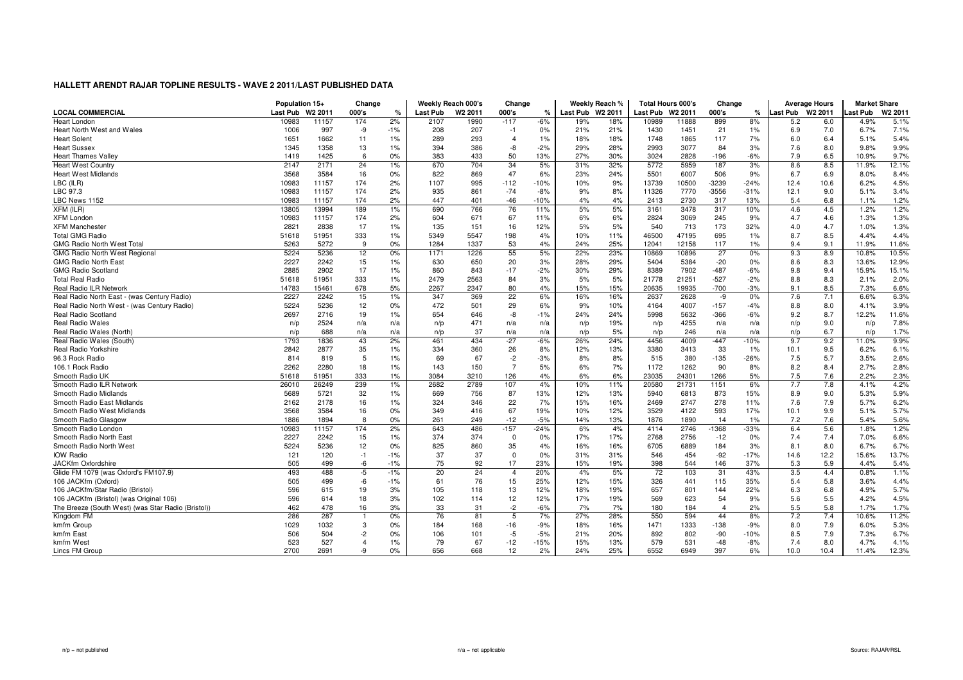|                                                    | Population 15+  |                     | Change         |       |                 | Weekly Reach 000's  | Change         |        |                  | Weekly Reach % | <b>Total Hours 000's</b> |                     | Change         |        |                 | <b>Average Hours</b> | <b>Market Share</b> |        |
|----------------------------------------------------|-----------------|---------------------|----------------|-------|-----------------|---------------------|----------------|--------|------------------|----------------|--------------------------|---------------------|----------------|--------|-----------------|----------------------|---------------------|--------|
| <b>LOCAL COMMERCIAL</b>                            | <b>Last Pub</b> | W <sub>2</sub> 2011 | 000's          | %     | <b>Last Pub</b> | W <sub>2</sub> 2011 | 000's          | ℀      | Last Pub W2 2011 |                | Last Pub                 | W <sub>2</sub> 2011 | 000's          | ℀      | <b>Last Pub</b> | W <sub>2</sub> 2011  | Last Pub            | W2 201 |
| <b>Heart London</b>                                | 10983           | 11157               | 174            | 2%    | 2107            | 1990                | $-117$         | $-6%$  | 19%              | 18%            | 10989                    | 11888               | 899            | 8%     | 5.2             | 6.0                  | 4.9%                | 5.1%   |
| Heart North West and Wales                         | 1006            | 997                 | -9             | $-1%$ | 208             | 207                 | $-1$           | 0%     | 21%              | 21%            | 1430                     | 1451                | 21             | $1\%$  | 6.9             | 7.0                  | 6.7%                | 7.1%   |
| <b>Heart Solent</b>                                | 1651            | 1662                | 11             | 1%    | 289             | 293                 | $\overline{4}$ | 1%     | 18%              | 18%            | 1748                     | 1865                | 117            | 7%     | 6.0             | 6.4                  | 5.1%                | 5.4%   |
| <b>Heart Sussex</b>                                | 1345            | 1358                | 13             | 1%    | 394             | 386                 | -8             | $-2%$  | 29%              | 28%            | 2993                     | 3077                | 84             | 3%     | 7.6             | 8.0                  | 9.8%                | 9.9%   |
| <b>Heart Thames Valley</b>                         | 1419            | 1425                | 6              | 0%    | 383             | 433                 | 50             | 13%    | 27%              | 30%            | 3024                     | 2828                | $-196$         | $-6%$  | 7.9             | 6.5                  | 10.9%               | 9.7%   |
| <b>Heart West Country</b>                          | 2147            | 2171                | 24             | 1%    | 670             | 704                 | 34             | 5%     | 31%              | 32%            | 5772                     | 5959                | 187            | 3%     | 8.6             | 8.5                  | 11.9%               | 12.1%  |
| <b>Heart West Midlands</b>                         | 3568            | 3584                | 16             | 0%    | 822             | 869                 | 47             | 6%     | 23%              | 24%            | 5501                     | 6007                | 506            | 9%     | 6.7             | 6.9                  | 8.0%                | 8.4%   |
| LBC (ILR)                                          | 10983           | 11157               | 174            | 2%    | 1107            | 995                 | $-112$         | $-10%$ | 10%              | 9%             | 13739                    | 10500               | $-3239$        | $-24%$ | 12.4            | 10.6                 | 6.2%                | 4.5%   |
| LBC 97.3                                           | 10983           | 11157               | 174            | 2%    | 935             | 861                 | $-74$          | $-8%$  | 9%               | 8%             | 11326                    | 7770                | $-3556$        | $-31%$ | 12.1            | 9.0                  | 5.1%                | 3.4%   |
| LBC News 1152                                      | 10983           | 11157               | 174            | 2%    | 447             | 401                 | $-46$          | $-10%$ | 4%               | 4%             | 2413                     | 2730                | 317            | 13%    | 5.4             | 6.8                  | 1.1%                | 1.2%   |
| $XFM$ (ILR)                                        | 13805           | 13994               | 189            | 1%    | 690             | 766                 | 76             | 11%    | 5%               | 5%             | 3161                     | 3478                | 317            | 10%    | 4.6             | 4.5                  | 1.2%                | 1.2%   |
| <b>XFM London</b>                                  | 10983           | 11157               | 174            | 2%    | 604             | 671                 | 67             | 11%    | 6%               | 6%             | 2824                     | 3069                | 245            | 9%     | 4.7             | 4.6                  | 1.3%                | 1.3%   |
| <b>XFM Manchester</b>                              | 2821            | 2838                | 17             | 1%    | 135             | 151                 | 16             | 12%    | 5%               | 5%             | 540                      | 713                 | 173            | 32%    | 4.0             | 4.7                  | 1.0%                | 1.3%   |
| <b>Total GMG Radio</b>                             | 51618           | 51951               | 333            | 1%    | 5349            | 5547                | 198            | 4%     | 10%              | 11%            | 46500                    | 47195               | 695            | 1%     | 8.7             | 8.5                  | 4.4%                | 4.4%   |
| <b>GMG Radio North West Total</b>                  | 5263            | 5272                | 9              | 0%    | 1284            | 1337                | 53             | 4%     | 24%              | 25%            | 12041                    | 12158               | 117            | 1%     | 9.4             | 9.1                  | 11.9%               | 11.6%  |
| <b>GMG Radio North West Regional</b>               | 5224            | 5236                | 12             | 0%    | 1171            | 1226                | 55             | 5%     | 22%              | 23%            | 10869                    | 10896               | 27             | 0%     | 9.3             | 8.9                  | 10.8%               | 10.5%  |
| <b>GMG Radio North East</b>                        | 2227            | 2242                | 15             | 1%    | 630             | 650                 | 20             | 3%     | 28%              | 29%            | 5404                     | 5384                | $-20$          | 0%     | 8.6             | 8.3                  | 13.6%               | 12.9%  |
| <b>GMG Radio Scotland</b>                          | 2885            | 2902                | 17             | 1%    | 860             | 843                 | $-17$          | $-2%$  | 30%              | 29%            | 8389                     | 7902                | $-487$         | $-6%$  | 9.8             | 9.4                  | 15.9%               | 15.1%  |
| <b>Total Real Radio</b>                            | 51618           | 51951               | 333            | 1%    | 2479            | 2563                | 84             | 3%     | 5%               | 5%             | 21778                    | 21251               | $-527$         | $-2%$  | 8.8             | 8.3                  | 2.1%                | 2.0%   |
| Real Radio ILR Network                             | 14783           | 15461               | 678            | 5%    | 2267            | 2347                | 80             | 4%     | 15%              | 15%            | 20635                    | 19935               | $-700$         | $-3%$  | 9.1             | 8.5                  | 7.3%                | 6.6%   |
| Real Radio North East - (was Century Radio)        | 2227            | 2242                | 15             | 1%    | 347             | 369                 | 22             | 6%     | 16%              | 16%            | 2637                     | 2628                | -9             | 0%     | 7.6             | 7.1                  | 6.6%                | 6.3%   |
| Real Radio North West - (was Century Radio)        | 5224            | 5236                | 12             | 0%    | 472             | 501                 | 29             | 6%     | 9%               | 10%            | 4164                     | 4007                | $-157$         | $-4%$  | 8.8             | 8.0                  | 4.1%                | 3.9%   |
| Real Radio Scotland                                | 2697            | 2716                | 19             | 1%    | 654             | 646                 | -8             | $-1%$  | 24%              | 24%            | 5998                     | 5632                | $-366$         | $-6%$  | 9.2             | 8.7                  | 12.2%               | 11.6%  |
| <b>Real Radio Wales</b>                            | n/p             | 2524                | n/a            | n/a   | n/p             | 471                 | n/a            | n/a    | n/p              | 19%            | n/p                      | 4255                | n/a            | n/a    | n/p             | 9.0                  | n/p                 | 7.8%   |
| Real Radio Wales (North)                           | n/p             | 688                 | n/a            | n/a   | n/p             | 37                  | n/a            | n/a    | n/p              | 5%             | n/p                      | 246                 | n/a            | n/a    | n/p             | 6.7                  | n/p                 | 1.7%   |
| Real Radio Wales (South)                           | 1793            | 1836                | 43             | 2%    | 461             | 434                 | $-27$          | $-6%$  | 26%              | 24%            | 4456                     | 4009                | $-447$         | $-10%$ | 9.7             | 9.2                  | 11.0%               | 9.9%   |
| Real Radio Yorkshire                               | 2842            | 2877                | 35             | 1%    | 334             | 360                 | 26             | 8%     | 12%              | 13%            | 3380                     | 3413                | 33             | $1\%$  | 10.1            | 9.5                  | 6.2%                | 6.1%   |
| 96.3 Rock Radio                                    | 814             | 819                 | 5              | 1%    | 69              | 67                  | $-2$           | $-3%$  | 8%               | 8%             | 515                      | 380                 | $-135$         | $-26%$ | 7.5             | 5.7                  | 3.5%                | 2.6%   |
| 106.1 Rock Radio                                   | 2262            | 2280                | 18             | 1%    | 143             | 150                 | $\overline{7}$ | 5%     | 6%               | 7%             | 1172                     | 1262                | 90             | 8%     | 8.2             | 8.4                  | 2.7%                | 2.8%   |
| Smooth Radio UK                                    | 51618           | 51951               | 333            | 1%    | 3084            | 3210                | 126            | 4%     | 6%               | 6%             | 23035                    | 24301               | 1266           | 5%     | 7.5             | 7.6                  | 2.2%                | 2.3%   |
| Smooth Radio ILR Network                           | 26010           | 26249               | 239            | 1%    | 2682            | 2789                | 107            | 4%     | 10%              | 11%            | 20580                    | 21731               | 1151           | 6%     | 7.7             | 7.8                  | 4.1%                | 4.2%   |
| Smooth Radio Midlands                              | 5689            | 5721                | 32             | 1%    | 669             | 756                 | 87             | 13%    | 12%              | 13%            | 5940                     | 6813                | 873            | 15%    | 8.9             | 9.0                  | 5.3%                | 5.9%   |
| Smooth Radio East Midlands                         | 2162            | 2178                | 16             | 1%    | 324             | 346                 | 22             | 7%     | 15%              | 16%            | 2469                     | 2747                | 278            | 11%    | 7.6             | 7.9                  | 5.7%                | 6.2%   |
| Smooth Radio West Midlands                         | 3568            | 3584                | 16             | 0%    | 349             | 416                 | 67             | 19%    | 10%              | 12%            | 3529                     | 4122                | 593            | 17%    | 10.1            | 9.9                  | 5.1%                | 5.7%   |
| Smooth Radio Glasgow                               | 1886            | 1894                | -8             | 0%    | 261             | 249                 | $-12$          | $-5%$  | 14%              | 13%            | 1876                     | 1890                | 14             | 1%     | 7.2             | 7.6                  | 5.4%                | 5.6%   |
| Smooth Radio London                                | 10983           | 11157               | 174            | 2%    | 643             | 486                 | $-157$         | $-24%$ | 6%               | 4%             | 4114                     | 2746                | $-1368$        | $-33%$ | 6.4             | 5.6                  | 1.8%                | 1.2%   |
| Smooth Radio North East                            | 2227            | 2242                | 15             | 1%    | 374             | 374                 | $\mathbf 0$    | 0%     | 17%              | 17%            | 2768                     | 2756                | $-12$          | 0%     | 7.4             | 7.4                  | 7.0%                | 6.6%   |
| Smooth Radio North West                            | 5224            | 5236                | 12             | 0%    | 825             | 860                 | 35             | 4%     | 16%              | 16%            | 6705                     | 6889                | 184            | 3%     | 8.1             | 8.0                  | 6.7%                | 6.7%   |
| <b>IOW Radio</b>                                   | 121             | 120                 | $-1$           | $-1%$ | 37              | 37                  | $\mathbf 0$    | 0%     | 31%              | 31%            | 546                      | 454                 | $-92$          | $-17%$ | 14.6            | 12.2                 | 15.6%               | 13.7%  |
| <b>JACKfm Oxfordshire</b>                          | 505             | 499                 | $-6$           | $-1%$ | 75              | 92                  | 17             | 23%    | 15%              | 19%            | 398                      | 544                 | 146            | 37%    | 5.3             | 5.9                  | 4.4%                | 5.4%   |
| Glide FM 1079 (was Oxford's FM107.9)               | 493             | 488                 | $-5$           | $-1%$ | 20              | 24                  | $\overline{4}$ | 20%    | 4%               | 5%             | 72                       | 103                 | 31             | 43%    | 3.5             | 4.4                  | 0.8%                | 1.1%   |
| 106 JACKfm (Oxford)                                | 505             | 499                 | -6             | $-1%$ | 61              | 76                  | 15             | 25%    | 12%              | 15%            | 326                      | 441                 | 115            | 35%    | 5.4             | 5.8                  | 3.6%                | 4.4%   |
| 106 JACKfm/Star Radio (Bristol)                    | 596             | 615                 | 19             | 3%    | 105             | 118                 | 13             | 12%    | 18%              | 19%            | 657                      | 801                 | 144            | 22%    | 6.3             | 6.8                  | 4.9%                | 5.7%   |
| 106 JACKfm (Bristol) (was Original 106)            | 596             | 614                 | 18             | 3%    | 102             | 114                 | 12             | 12%    | 17%              | 19%            | 569                      | 623                 | 54             | 9%     | 5.6             | 5.5                  | 4.2%                | 4.5%   |
| The Breeze (South West) (was Star Radio (Bristol)) | 462             | 478                 | 16             | 3%    | 33              | 31                  | $-2$           | -6%    | 7%               | 7%             | 180                      | 184                 | $\overline{4}$ | 2%     | 5.5             | 5.8                  | 1.7%                | 1.7%   |
| Kingdom FM                                         | 286             | 287                 |                | 0%    | 76              | 81                  | 5              | 7%     | 27%              | 28%            | 550                      | 594                 | 44             | 8%     | 7.2             | 7.4                  | 10.6%               | 11.2%  |
| kmfm Group                                         | 1029            | 1032                | 3              | 0%    | 184             | 168                 | $-16$          | $-9%$  | 18%              | 16%            | 1471                     | 1333                | $-138$         | $-9%$  | 8.0             | 7.9                  | 6.0%                | 5.3%   |
| kmfm East                                          | 506             | 504                 | $-2$           | 0%    | 106             | 101                 | $-5$           | $-5%$  | 21%              | 20%            | 892                      | 802                 | $-90$          | $-10%$ | 8.5             | 7.9                  | 7.3%                | 6.7%   |
| kmfm West                                          | 523             | 527                 | $\overline{4}$ | 1%    | 79              | 67                  | $-12$          | $-15%$ | 15%              | 13%            | 579                      | 531                 | $-48$          | $-8%$  | 7.4             | 8.0                  | 4.7%                | 4.1%   |
| Lincs FM Group                                     | 2700            | 2691                | -9             | 0%    | 656             | 668                 | 12             | 2%     | 24%              | 25%            | 6552                     | 6949                | 397            | 6%     | 10.0            | 10.4                 | 11.4%               | 12.3%  |
|                                                    |                 |                     |                |       |                 |                     |                |        |                  |                |                          |                     |                |        |                 |                      |                     |        |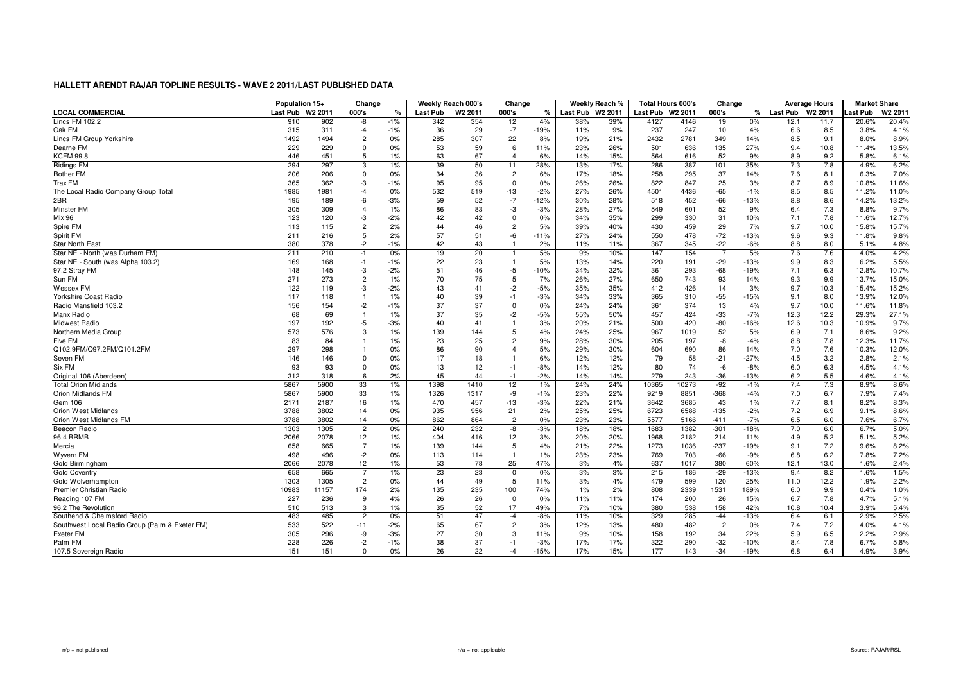|                                                | Population 15+   |       | Change         |       | Weekly Reach 000's |                     | Change         |        |                  | Weekly Reach % | <b>Total Hours 000's</b> |       | Change         |               | <b>Average Hours</b> |                     | <b>Market Share</b> |                    |
|------------------------------------------------|------------------|-------|----------------|-------|--------------------|---------------------|----------------|--------|------------------|----------------|--------------------------|-------|----------------|---------------|----------------------|---------------------|---------------------|--------------------|
| <b>LOCAL COMMERCIAL</b>                        | Last Pub W2 2011 |       | 000's          | %     | <b>Last Pub</b>    | W <sub>2</sub> 2011 | 000's          | ℀      | Last Pub W2 2011 |                | Last Pub W2 2011         |       | 000's          | $\frac{9}{6}$ | <b>Last Pub</b>      | W <sub>2</sub> 2011 | Last Pub            | W <sub>2</sub> 201 |
| Lincs FM 102.2                                 | 910              | 902   | -8             | $-1%$ | 342                | 354                 | 12             | 4%     | 38%              | 39%            | 4127                     | 4146  | 19             | $0\%$         | 12.1                 | 11.7                | 20.6%               | 20.4%              |
| Oak FM                                         | 315              | 311   | $-4$           | $-1%$ | 36                 | 29                  | $-7$           | $-19%$ | 11%              | 9%             | 237                      | 247   | 10             | 4%            | 6.6                  | 8.5                 | 3.8%                | 4.1%               |
| Lincs FM Group Yorkshire                       | 1492             | 1494  | $\overline{c}$ | 0%    | 285                | 307                 | 22             | 8%     | 19%              | 21%            | 2432                     | 2781  | 349            | 14%           | 8.5                  | 9.1                 | 8.0%                | 8.9%               |
| Dearne FM                                      | 229              | 229   | $\Omega$       | 0%    | 53                 | 59                  | 6              | 11%    | 23%              | 26%            | 501                      | 636   | 135            | 27%           | 9.4                  | 10.8                | 11.4%               | 13.5%              |
| <b>KCFM 99.8</b>                               | 446              | 451   | 5              | 1%    | 63                 | 67                  | $\overline{4}$ | 6%     | 14%              | 15%            | 564                      | 616   | 52             | 9%            | 8.9                  | 9.2                 | 5.8%                | 6.1%               |
| <b>Ridings FM</b>                              | 294              | 297   | 3              | $1\%$ | 39                 | 50                  | 11             | 28%    | 13%              | 17%            | 286                      | 387   | 101            | 35%           | 7.3                  | 7.8                 | 4.9%                | 6.2%               |
| Rother FM                                      | 206              | 206   | $\overline{0}$ | $0\%$ | 34                 | 36                  | $\overline{c}$ | 6%     | 17%              | 18%            | 258                      | 295   | 37             | 14%           | 7.6                  | 8.1                 | 6.3%                | 7.0%               |
| Trax FM                                        | 365              | 362   | -3             | $-1%$ | 95                 | 95                  | $\mathbf 0$    | 0%     | 26%              | 26%            | 822                      | 847   | 25             | 3%            | 8.7                  | 8.9                 | 10.8%               | 11.6%              |
| The Local Radio Company Group Total            | 1985             | 1981  | $-4$           | 0%    | 532                | 519                 | $-13$          | $-2%$  | 27%              | 26%            | 4501                     | 4436  | $-65$          | $-1%$         | 8.5                  | 8.5                 | 11.2%               | 11.0%              |
| 2BR                                            | 195              | 189   | $-6$           | $-3%$ | 59                 | 52                  | $-7$           | $-12%$ | 30%              | 28%            | 518                      | 452   | $-66$          | $-13%$        | 8.8                  | 8.6                 | 14.2%               | 13.2%              |
| Minster FM                                     | 305              | 309   | $\overline{4}$ | 1%    | 86                 | 83                  | -3             | $-3%$  | 28%              | 27%            | 549                      | 601   | 52             | 9%            | 6.4                  | 7.3                 | 8.8%                | 9.7%               |
| Mix 96                                         | 123              | 120   | -3             | $-2%$ | 42                 | 42                  | $\mathbf 0$    | 0%     | 34%              | 35%            | 299                      | 330   | 31             | 10%           | 7.1                  | 7.8                 | 11.6%               | 12.7%              |
| Spire FM                                       | 113              | 115   | $\overline{c}$ | 2%    | 44                 | 46                  | $\overline{c}$ | 5%     | 39%              | 40%            | 430                      | 459   | 29             | 7%            | 9.7                  | 10.0                | 15.8%               | 15.7%              |
| Spirit FM                                      | 211              | 216   | 5              | 2%    | 57                 | 51                  | -6             | $-11%$ | 27%              | 24%            | 550                      | 478   | $-72$          | $-13%$        | 9.6                  | 9.3                 | 11.8%               | 9.8%               |
| <b>Star North East</b>                         | 380              | 378   | $-2$           | $-1%$ | 42                 | 43                  | $\mathbf{1}$   | 2%     | 11%              | 11%            | 367                      | 345   | $-22$          | $-6%$         | 8.8                  | 8.0                 | 5.1%                | 4.8%               |
| Star NE - North (was Durham FM)                | 211              | 210   | -1             | 0%    | 19                 | 20                  |                | 5%     | 9%               | 10%            | 147                      | 154   | $\overline{7}$ | 5%            | 7.6                  | 7.6                 | 4.0%                | 4.2%               |
| Star NE - South (was Alpha 103.2)              | 169              | 168   | $-1$           | $-1%$ | 22                 | 23                  | $\overline{1}$ | 5%     | 13%              | 14%            | 220                      | 191   | $-29$          | $-13%$        | 9.9                  | 8.3                 | 6.2%                | 5.5%               |
| 97.2 Stray FM                                  | 148              | 145   | -3             | $-2%$ | 51                 | 46                  | $-5$           | $-10%$ | 34%              | 32%            | 361                      | 293   | $-68$          | $-19%$        | 7.1                  | 6.3                 | 12.8%               | 10.7%              |
| Sun FM                                         | 271              | 273   | $\overline{c}$ | 1%    | 70                 | 75                  | 5              | 7%     | 26%              | 27%            | 650                      | 743   | 93             | 14%           | 9.3                  | 9.9                 | 13.7%               | 15.0%              |
| Wessex FM                                      | 122              | 119   | -3             | $-2%$ | 43                 | 41                  | $-2$           | $-5%$  | 35%              | 35%            | 412                      | 426   | 14             | 3%            | 9.7                  | 10.3                | 15.4%               | 15.2%              |
| Yorkshire Coast Radio                          | 117              | 118   |                | 1%    | 40                 | 39                  | $-1$           | $-3%$  | 34%              | 33%            | 365                      | 310   | $-55$          | $-15%$        | 9.1                  | 8.0                 | 13.9%               | 12.0%              |
| Radio Mansfield 103.2                          | 156              | 154   | $-2$           | $-1%$ | 37                 | 37                  | $\mathbf 0$    | 0%     | 24%              | 24%            | 361                      | 374   | 13             | 4%            | 9.7                  | 10.0                | 11.6%               | 11.8%              |
| Manx Radio                                     | 68               | 69    | $\overline{1}$ | 1%    | 37                 | 35                  | $-2$           | $-5%$  | 55%              | 50%            | 457                      | 424   | $-33$          | $-7%$         | 12.3                 | 12.2                | 29.3%               | 27.1%              |
| Midwest Radio                                  | 197              | 192   | $-5$           | $-3%$ | 40                 | 41                  | $\overline{1}$ | 3%     | 20%              | 21%            | 500                      | 420   | $-80$          | $-16%$        | 12.6                 | 10.3                | 10.9%               | 9.7%               |
| Northern Media Group                           | 573              | 576   | 3              | 1%    | 139                | 144                 | 5              | 4%     | 24%              | 25%            | 967                      | 1019  | 52             | 5%            | 6.9                  | 7.1                 | 8.6%                | 9.2%               |
| Five FM                                        | 83               | 84    |                | $1\%$ | 23                 | 25                  | $\overline{2}$ | 9%     | 28%              | 30%            | 205                      | 197   | -8             | $-4%$         | 8.8                  | 7.8                 | 12.3%               | 11.7%              |
| Q102.9FM/Q97.2FM/Q101.2FM                      | 297              | 298   |                | 0%    | 86                 | 90                  | $\overline{4}$ | 5%     | 29%              | 30%            | 604                      | 690   | 86             | 14%           | 7.0                  | 7.6                 | 10.3%               | 12.0%              |
| Seven FM                                       | 146              | 146   | $\Omega$       | 0%    | 17                 | 18                  | $\overline{1}$ | 6%     | 12%              | 12%            | 79                       | 58    | $-21$          | $-27%$        | 4.5                  | 3.2                 | 2.8%                | 2.1%               |
| Six FM                                         | 93               | 93    | $\mathbf 0$    | 0%    | 13                 | 12                  | $-1$           | $-8%$  | 14%              | 12%            | 80                       | 74    | $-6$           | $-8%$         | 6.0                  | 6.3                 | 4.5%                | 4.1%               |
| Original 106 (Aberdeen)                        | 312              | 318   | 6              | 2%    | 45                 | 44                  | $-1$           | $-2%$  | 14%              | 14%            | 279                      | 243   | $-36$          | $-13%$        | 6.2                  | 5.5                 | 4.6%                | 4.1%               |
| <b>Total Orion Midlands</b>                    | 5867             | 5900  | 33             | 1%    | 1398               | 1410                | 12             | 1%     | 24%              | 24%            | 10365                    | 10273 | $-92$          | $-1%$         | 7.4                  | 7.3                 | 8.9%                | 8.6%               |
| Orion Midlands FM                              | 5867             | 5900  | 33             | 1%    | 1326               | 1317                | -9             | $-1%$  | 23%              | 22%            | 9219                     | 8851  | $-368$         | $-4%$         | 7.0                  | 6.7                 | 7.9%                | 7.4%               |
| Gem 106                                        | 2171             | 2187  | 16             | 1%    | 470                | 457                 | $-13$          | $-3%$  | 22%              | 21%            | 3642                     | 3685  | 43             | 1%            | 7.7                  | 8.1                 | 8.2%                | 8.3%               |
| Orion West Midlands                            | 3788             | 3802  | 14             | 0%    | 935                | 956                 | 21             | 2%     | 25%              | 25%            | 6723                     | 6588  | $-135$         | $-2%$         | 7.2                  | 6.9                 | 9.1%                | 8.6%               |
| Orion West Midlands FM                         | 3788             | 3802  | 14             | 0%    | 862                | 864                 | $\overline{2}$ | 0%     | 23%              | 23%            | 5577                     | 5166  | $-411$         | $-7%$         | 6.5                  | 6.0                 | 7.6%                | 6.7%               |
| Beacon Radio                                   | 1303             | 1305  | $\overline{2}$ | 0%    | 240                | 232                 | -8             | $-3%$  | 18%              | 18%            | 1683                     | 1382  | $-301$         | $-18%$        | 7.0                  | 6.0                 | 6.7%                | 5.0%               |
| 96.4 BRMB                                      | 2066             | 2078  | 12             | 1%    | 404                | 416                 | 12             | 3%     | 20%              | 20%            | 1968                     | 2182  | 214            | 11%           | 4.9                  | 5.2                 | 5.1%                | 5.2%               |
| Mercia                                         | 658              | 665   | $\overline{7}$ | 1%    | 139                | 144                 | 5              | 4%     | 21%              | 22%            | 1273                     | 1036  | $-237$         | $-19%$        | 9.1                  | 7.2                 | 9.6%                | 8.2%               |
| Wyvern FM                                      | 498              | 496   | $-2$           | 0%    | 113                | 114                 | $\overline{1}$ | 1%     | 23%              | 23%            | 769                      | 703   | $-66$          | $-9%$         | 6.8                  | 6.2                 | 7.8%                | 7.2%               |
| Gold Birmingham                                | 2066             | 2078  | 12             | 1%    | 53                 | 78                  | 25             | 47%    | 3%               | 4%             | 637                      | 1017  | 380            | 60%           | 12.1                 | 13.0                | 1.6%                | 2.4%               |
| <b>Gold Coventry</b>                           | 658              | 665   | $\overline{7}$ | 1%    | 23                 | 23                  | $\mathbf 0$    | 0%     | 3%               | 3%             | 215                      | 186   | $-29$          | $-13%$        | 9.4                  | 8.2                 | 1.6%                | 1.5%               |
| Gold Wolverhampton                             | 1303             | 1305  | $\overline{c}$ | 0%    | 44                 | 49                  | 5              | 11%    | 3%               | 4%             | 479                      | 599   | 120            | 25%           | 11.0                 | 12.2                | 1.9%                | 2.2%               |
| Premier Christian Radio                        | 10983            | 11157 | 174            | 2%    | 135                | 235                 | 100            | 74%    | 1%               | 2%             | 808                      | 2339  | 1531           | 189%          | 6.0                  | 9.9                 | 0.4%                | 1.0%               |
| Reading 107 FM                                 | 227              | 236   | 9              | 4%    | 26                 | 26                  | $\mathbf{0}$   | 0%     | 11%              | 11%            | 174                      | 200   | 26             | 15%           | 6.7                  | 7.8                 | 4.7%                | 5.1%               |
| 96.2 The Revolution                            | 510              | 513   | 3              | 1%    | 35                 | 52                  | 17             | 49%    | 7%               | 10%            | 380                      | 538   | 158            | 42%           | 10.8                 | 10.4                | 3.9%                | 5.4%               |
| Southend & Chelmsford Radio                    | 483              | 485   | $\overline{c}$ | 0%    | 51                 | 47                  | $-4$           | $-8%$  | 11%              | 10%            | 329                      | 285   | $-44$          | $-13%$        | 6.4                  | 6.1                 | 2.9%                | 2.5%               |
| Southwest Local Radio Group (Palm & Exeter FM) | 533              | 522   | $-11$          | $-2%$ | 65                 | 67                  | $\overline{2}$ | 3%     | 12%              | 13%            | 480                      | 482   | $\overline{c}$ | 0%            | 7.4                  | 7.2                 | 4.0%                | 4.1%               |
| <b>Exeter FM</b>                               | 305              | 296   | -9             | -3%   | 27                 | 30                  | 3              | 11%    | 9%               | 10%            | 158                      | 192   | 34             | 22%           | 5.9                  | 6.5                 | 2.2%                | 2.9%               |
| Palm FM                                        | 228              | 226   | $-2$           | $-1%$ | 38                 | 37                  | $-1$           | $-3%$  | 17%              | 17%            | 322                      | 290   | $-32$          | $-10%$        | 8.4                  | 7.8                 | 6.7%                | 5.8%               |
| 107.5 Sovereign Radio                          | 151              | 151   | $\mathbf 0$    | 0%    | 26                 | 22                  | $-4$           | $-15%$ | 17%              | 15%            | 177                      | 143   | $-34$          | $-19%$        | 6.8                  | 6.4                 | 4.9%                | 3.9%               |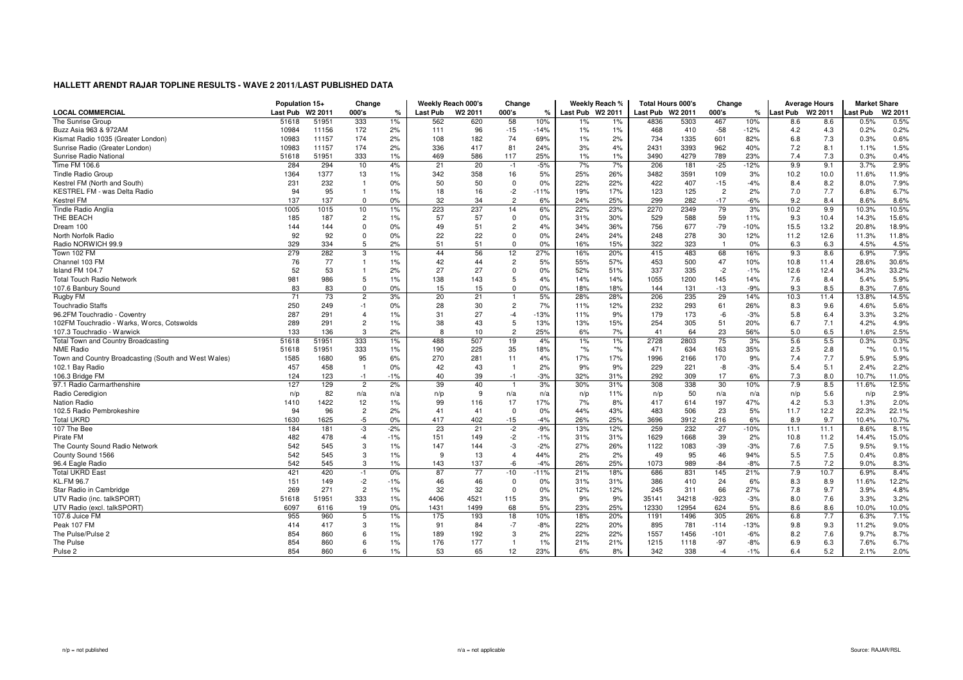|                                                      | Population 15+ |                     | Change         |               | Weekly Reach 000's |                     | Change         |               |                  | Weekly Reach % | <b>Total Hours 000's</b> |       | Change         |               | <b>Average Hours</b> |                     | <b>Market Share</b> |                     |
|------------------------------------------------------|----------------|---------------------|----------------|---------------|--------------------|---------------------|----------------|---------------|------------------|----------------|--------------------------|-------|----------------|---------------|----------------------|---------------------|---------------------|---------------------|
| <b>LOCAL COMMERCIAL</b>                              | Last Pub       | W <sub>2</sub> 2011 | 000's          | $\frac{1}{c}$ | Last Pub           | W <sub>2</sub> 2011 | 000's          | $\frac{9}{6}$ | Last Pub W2 2011 |                | Last Pub W2 2011         |       | 000's          | $\frac{9}{6}$ | <b>Last Pub</b>      | W <sub>2</sub> 2011 | Last Pub            | W2 201 <sup>-</sup> |
| The Sunrise Group                                    | 51618          | 51951               | 333            | 1%            | 562                | 620                 | 58             | 10%           | 1%               | 1%             | 4836                     | 5303  | 467            | 10%           | 8.6                  | 8.6                 | 0.5%                | 0.5%                |
| Buzz Asia 963 & 972AM                                | 10984          | 11156               | 172            | 2%            | 111                | 96                  | $-15$          | $-14%$        | 1%               | 1%             | 468                      | 410   | $-58$          | $-12%$        | 4.2                  | 4.3                 | 0.2%                | 0.2%                |
| Kismat Radio 1035 (Greater London)                   | 10983          | 11157               | 174            | 2%            | 108                | 182                 | 74             | 69%           | 1%               | 2%             | 734                      | 1335  | 601            | 82%           | 6.8                  | 7.3                 | 0.3%                | 0.6%                |
| Sunrise Radio (Greater London)                       | 10983          | 11157               | 174            | 2%            | 336                | 417                 | 81             | 24%           | 3%               | 4%             | 2431                     | 3393  | 962            | 40%           | 7.2                  | 8.1                 | 1.1%                | 1.5%                |
| Sunrise Radio National                               | 51618          | 51951               | 333            | 1%            | 469                | 586                 | 117            | 25%           | 1%               | 1%             | 3490                     | 4279  | 789            | 23%           | 7.4                  | 7.3                 | 0.3%                | 0.4%                |
| Time FM 106.6                                        | 284            | 294                 | 10             | 4%            | 21                 | 20                  | $-1$           | $-5%$         | 7%               | 7%             | 206                      | 181   | $-25$          | $-12%$        | 9.9                  | 9.1                 | 3.7%                | 2.9%                |
| <b>Tindle Radio Group</b>                            | 1364           | 1377                | 13             | 1%            | 342                | 358                 | 16             | 5%            | 25%              | 26%            | 3482                     | 3591  | 109            | 3%            | 10.2                 | 10.0                | 11.6%               | 11.9%               |
| Kestrel FM (North and South)                         | 231            | 232                 | -1             | 0%            | 50                 | 50                  | $\mathbf 0$    | 0%            | 22%              | 22%            | 422                      | 407   | $-15$          | $-4%$         | 8.4                  | 8.2                 | 8.0%                | 7.9%                |
| KESTREL FM - was Delta Radio                         | 94             | 95                  | $\overline{1}$ | 1%            | 18                 | 16                  | $-2$           | $-11%$        | 19%              | 17%            | 123                      | 125   | $\overline{c}$ | 2%            | 7.0                  | 7.7                 | 6.8%                | 6.7%                |
| <b>Kestrel FM</b>                                    | 137            | 137                 | $\mathbf 0$    | 0%            | 32                 | 34                  | $\overline{2}$ | 6%            | 24%              | 25%            | 299                      | 282   | $-17$          | $-6%$         | 9.2                  | 8.4                 | 8.6%                | 8.6%                |
| Tindle Radio Anglia                                  | 1005           | 1015                | 10             | 1%            | 223                | 237                 | 14             | 6%            | 22%              | 23%            | 2270                     | 2349  | 79             | 3%            | 10.2                 | 9.9                 | 10.3%               | 10.5%               |
| THE BEACH                                            | 185            | 187                 | $\overline{2}$ | 1%            | 57                 | 57                  | $\mathbf 0$    | 0%            | 31%              | 30%            | 529                      | 588   | 59             | 11%           | 9.3                  | 10.4                | 14.3%               | 15.6%               |
| Dream 100                                            | 144            | 144                 | $\Omega$       | 0%            | 49                 | 51                  | $\overline{2}$ | 4%            | 34%              | 36%            | 756                      | 677   | $-79$          | $-10%$        | 15.5                 | 13.2                | 20.8%               | 18.9%               |
| North Norfolk Radio                                  | 92             | 92                  | $\Omega$       | 0%            | 22                 | 22                  | $\mathbf 0$    | 0%            | 24%              | 24%            | 248                      | 278   | 30             | 12%           | 11.2                 | 12.6                | 11.3%               | 11.8%               |
| Radio NORWICH 99.9                                   | 329            | 334                 | 5              | 2%            | 51                 | 51                  | $\mathbf{0}$   | 0%            | 16%              | 15%            | 322                      | 323   | $\mathbf{1}$   | 0%            | 6.3                  | 6.3                 | 4.5%                | 4.5%                |
| Town 102 FM                                          | 279            | 282                 | 3              | 1%            | 44                 | 56                  | 12             | 27%           | 16%              | 20%            | 415                      | 483   | 68             | 16%           | 9.3                  | 8.6                 | 6.9%                | 7.9%                |
| Channel 103 FM                                       | 76             | 77                  | $\overline{1}$ | 1%            | 42                 | 44                  | $\overline{2}$ | 5%            | 55%              | 57%            | 453                      | 500   | 47             | 10%           | 10.8                 | 11.4                | 28.6%               | 30.6%               |
| Island FM 104.7                                      | 52             | 53                  |                | 2%            | 27                 | 27                  | $\Omega$       | 0%            | 52%              | 51%            | 337                      | 335   | $-2$           | $-1%$         | 12.6                 | 12.4                | 34.3%               | 33.2%               |
| <b>Total Touch Radio Network</b>                     | 981            | 986                 | 5              | 1%            | 138                | 143                 | 5              | 4%            | 14%              | 14%            | 1055                     | 1200  | 145            | 14%           | 7.6                  | 8.4                 | 5.4%                | 5.9%                |
| 107.6 Banbury Sound                                  | 83             | 83                  | $\Omega$       | 0%            | 15                 | 15                  | $\pmb{0}$      | 0%            | 18%              | 18%            | 144                      | 131   | $-13$          | -9%           | 9.3                  | 8.5                 | 8.3%                | 7.6%                |
| Rugby FM                                             | 71             | 73                  | $\overline{2}$ | 3%            | 20                 | 21                  | $\mathbf{1}$   | 5%            | 28%              | 28%            | 206                      | 235   | 29             | 14%           | 10.3                 | 11.4                | 13.8%               | 14.5%               |
| <b>Touchradio Staffs</b>                             | 250            | 249                 | $-1$           | 0%            | 28                 | 30                  | $\overline{c}$ | 7%            | 11%              | 12%            | 232                      | 293   | 61             | 26%           | 8.3                  | 9.6                 | 4.6%                | 5.6%                |
| 96.2FM Touchradio - Coventry                         | 287            | 291                 | $\overline{4}$ | 1%            | 31                 | 27                  | $-4$           | $-13%$        | 11%              | 9%             | 179                      | 173   | -6             | $-3%$         | 5.8                  | 6.4                 | 3.3%                | 3.2%                |
| 102FM Touchradio - Warks, Worcs, Cotswolds           | 289            | 291                 | $\overline{c}$ | 1%            | 38                 | 43                  | 5              | 13%           | 13%              | 15%            | 254                      | 305   | 51             | 20%           | 6.7                  | 7.1                 | 4.2%                | 4.9%                |
| 107.3 Touchradio - Warwick                           | 133            | 136                 | 3              | 2%            | 8                  | 10                  | $\overline{2}$ | 25%           | 6%               | 7%             | 41                       | 64    | 23             | 56%           | 5.0                  | 6.5                 | 1.6%                | 2.5%                |
| Total Town and Country Broadcasting                  | 51618          | 51951               | 333            | 1%            | 488                | 507                 | 19             | 4%            | 1%               | 1%             | 2728                     | 2803  | 75             | 3%            | 5.6                  | 5.5                 | 0.3%                | 0.3%                |
| <b>NME Radio</b>                                     | 51618          | 51951               | 333            | 1%            | 190                | 225                 | 35             | 18%           | $*$ %            | $*_{\%}$       | 471                      | 634   | 163            | 35%           | 2.5                  | 2.8                 | $*$ %               | 0.1%                |
| Town and Country Broadcasting (South and West Wales) | 1585           | 1680                | 95             | 6%            | 270                | 281                 | 11             | 4%            | 17%              | 17%            | 1996                     | 2166  | 170            | 9%            | 7.4                  | 7.7                 | 5.9%                | 5.9%                |
| 102.1 Bay Radio                                      | 457            | 458                 | -1             | 0%            | 42                 | 43                  | $\overline{1}$ | 2%            | 9%               | 9%             | 229                      | 221   | -8             | $-3%$         | 5.4                  | 5.1                 | 2.4%                | 2.2%                |
| 106.3 Bridge FM                                      | 124            | 123                 | $-1$           | $-1%$         | 40                 | 39                  | $-1$           | $-3%$         | 32%              | 31%            | 292                      | 309   | 17             | 6%            | 7.3                  | 8.0                 | 10.7%               | 11.0%               |
| 97.1 Radio Carmarthenshire                           | 127            | 129                 | $\overline{2}$ | 2%            | 39                 | 40                  | $\overline{1}$ | 3%            | 30%              | 31%            | 308                      | 338   | 30             | 10%           | 7.9                  | 8.5                 | 11.6%               | 12.5%               |
| Radio Ceredigion                                     | n/p            | 82                  | n/a            | n/a           | n/p                | 9                   | n/a            | n/a           | n/p              | 11%            | n/p                      | 50    | n/a            | n/a           | n/p                  | 5.6                 | n/p                 | 2.9%                |
| <b>Nation Radio</b>                                  | 1410           | 1422                | 12             | 1%            | 99                 | 116                 | 17             | 17%           | 7%               | 8%             | 417                      | 614   | 197            | 47%           | 4.2                  | 5.3                 | 1.3%                | 2.0%                |
| 102.5 Radio Pembrokeshire                            | 94             | 96                  | $\overline{c}$ | 2%            | 41                 | 41                  | $\mathbf 0$    | 0%            | 44%              | 43%            | 483                      | 506   | 23             | 5%            | 11.7                 | 12.2                | 22.3%               | 22.1%               |
| <b>Total UKRD</b>                                    | 1630           | 1625                | $-5$           | 0%            | 417                | 402                 | $-15$          | $-4%$         | 26%              | 25%            | 3696                     | 3912  | 216            | 6%            | 8.9                  | 9.7                 | 10.4%               | 10.7%               |
| 107 The Bee                                          | 184            | 181                 | -3             | $-2%$         | 23                 | 21                  | $-2$           | $-9%$         | 13%              | 12%            | 259                      | 232   | $-27$          | $-10%$        | 11.1                 | 11.1                | 8.6%                | 8.1%                |
| Pirate FM                                            | 482            | 478                 | $-4$           | $-1%$         | 151                | 149                 | $-2$           | $-1%$         | 31%              | 31%            | 1629                     | 1668  | 39             | 2%            | 10.8                 | 11.2                | 14.4%               | 15.0%               |
| The County Sound Radio Network                       | 542            | 545                 | 3              | 1%            | 147                | 144                 | -3             | $-2%$         | 27%              | 26%            | 1122                     | 1083  | $-39$          | $-3%$         | 7.6                  | 7.5                 | 9.5%                | 9.1%                |
| County Sound 1566                                    | 542            | 545                 | 3              | 1%            | -9                 | 13                  | $\overline{4}$ | 44%           | 2%               | 2%             | 49                       | 95    | 46             | 94%           | 5.5                  | 7.5                 | 0.4%                | 0.8%                |
| 96.4 Eagle Radio                                     | 542            | 545                 | 3              | 1%            | 143                | 137                 | -6             | $-4%$         | 26%              | 25%            | 1073                     | 989   | $-84$          | $-8%$         | 7.5                  | 7.2                 | 9.0%                | 8.3%                |
| <b>Total UKRD East</b>                               | 421            | 420                 | $-1$           | 0%            | 87                 | 77                  | $-10$          | $-11%$        | 21%              | 18%            | 686                      | 831   | 145            | 21%           | 7.9                  | 10.7                | 6.9%                | 8.4%                |
| <b>KL.FM 96.7</b>                                    | 151            | 149                 | $-2$           | $-1%$         | 46                 | 46                  | $\overline{0}$ | 0%            | 31%              | 31%            | 386                      | 410   | 24             | 6%            | 8.3                  | 8.9                 | 11.6%               | 12.2%               |
| Star Radio in Cambridge                              | 269            | 271                 | $\overline{2}$ | 1%            | 32                 | 32                  | $\mathbf{0}$   | 0%            | 12%              | 12%            | 245                      | 311   | 66             | 27%           | 7.8                  | 9.7                 | 3.9%                | 4.8%                |
| UTV Radio (inc. talkSPORT)                           | 51618          | 51951               | 333            | 1%            | 4406               | 4521                | 115            | 3%            | 9%               | 9%             | 35141                    | 34218 | $-923$         | $-3%$         | 8.0                  | 7.6                 | 3.3%                | 3.2%                |
| UTV Radio (excl. talkSPORT)                          | 6097           | 6116                | 19             | 0%            | 1431               | 1499                | 68             | 5%            | 23%              | 25%            | 12330                    | 12954 | 624            | 5%            | 8.6                  | 8.6                 | 10.0%               | 10.0%               |
| 107.6 Juice FM                                       | 955            | 960                 | 5              | 1%            | 175                | 193                 | 18             | 10%           | 18%              | 20%            | 1191                     | 1496  | 305            | 26%           | 6.8                  | 7.7                 | 6.3%                | 7.1%                |
| Peak 107 FM                                          | 414            | 417                 | 3              | 1%            | 91                 | 84                  | $-7$           | $-8%$         | 22%              | 20%            | 895                      | 781   | $-114$         | $-13%$        | 9.8                  | 9.3                 | 11.2%               | 9.0%                |
| The Pulse/Pulse 2                                    | 854            | 860                 | 6              | 1%            | 189                | 192                 | 3              | 2%            | 22%              | 22%            | 1557                     | 1456  | $-101$         | $-6%$         | 8.2                  | 7.6                 | 9.7%                | 8.7%                |
| The Pulse                                            | 854            | 860                 | 6              | 1%            | 176                | 177                 | $\overline{1}$ | 1%            | 21%              | 21%            | 1215                     | 1118  | $-97$          | $-8%$         | 6.9                  | 6.3                 | 7.6%                | 6.7%                |
| Pulse 2                                              | 854            | 860                 | 6              | 1%            | 53                 | 65                  | 12             | 23%           | 6%               | 8%             | 342                      | 338   | $-4$           | $-1%$         | 6.4                  | 5.2                 | 2.1%                | 2.0%                |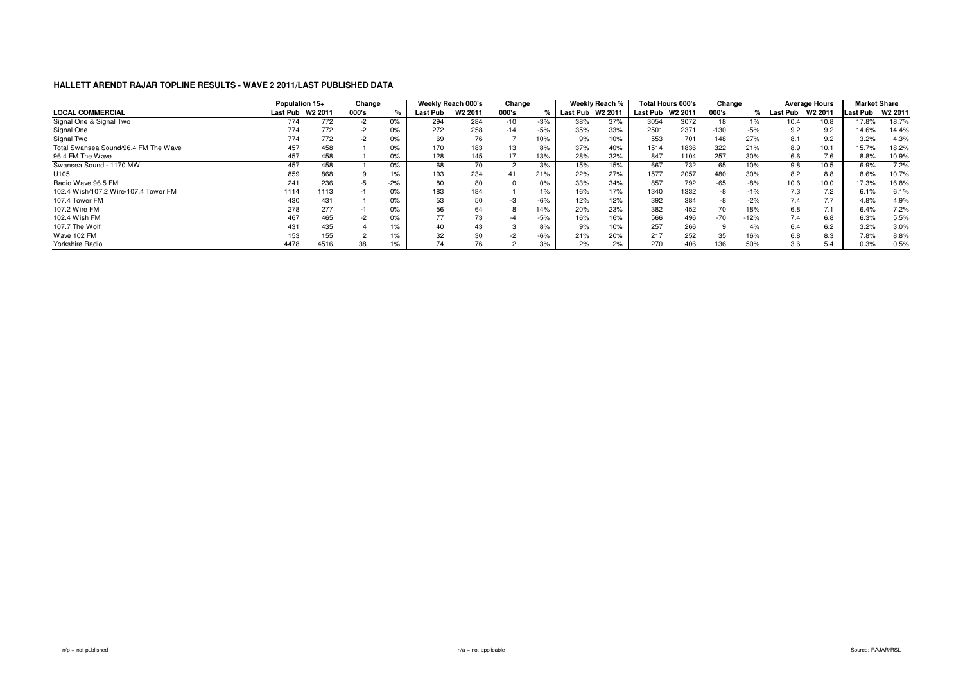|                                      | Population 15+  |                     | Change |       |          | Weekly Reach 000's  | Change |       |                 | Weekly Reach %      |          | Total Hours 000's | Change |        |          | <b>Average Hours</b> | <b>Market Share</b> |         |
|--------------------------------------|-----------------|---------------------|--------|-------|----------|---------------------|--------|-------|-----------------|---------------------|----------|-------------------|--------|--------|----------|----------------------|---------------------|---------|
| <b>LOCAL COMMERCIAL</b>              | <b>Last Pub</b> | W <sub>2</sub> 2011 | 000's  |       | Last Pub | W <sub>2</sub> 2011 | 000's  |       | <b>Last Pub</b> | W <sub>2</sub> 2011 | Last Pub | W2 2011           | 000's  |        | Last Pub | W <sub>2</sub> 2011  | Last Pub            | W2 2011 |
| Signal One & Signal Two              | 774             | 772                 |        | $0\%$ | 294      | 284                 | $-10$  | $-3%$ | 38%             | 37%                 | 3054     | 3072              | 18     | 1%     | 10.4     | 10.8                 | 17.8%               | 18.7%   |
| Signal One                           | 774             | 772                 |        | 0%    | 272      | 258                 | $-14$  | $-5%$ | 35%             | 33%                 | 2501     | 2371              | $-130$ |        | 9.2      | 9.2                  | 14.6%               | 14.4%   |
| Signal Two                           | 774             | 772                 |        | 0%    | 69       | 76                  |        | 10%   | 9%              | 10%                 | 553      | 701               | 148    | 27%    | 8.1      | 9.2                  | 3.2%                | 4.3%    |
| Total Swansea Sound/96.4 FM The Wave | 457             | 458                 |        | 0%    | 170      | 183                 | 13     | 8%    | 37%             | 40%                 | 1514     | 1836              | 322    | 21%    | 8.9      | 10.1                 | 15.7%               | 18.2%   |
| 96.4 FM The Wave                     | 457             | 458                 |        | 0%    | 128      | 145                 |        | 13%   | 28%             | 32%                 | 847      | 1104              | 257    | 30%    | 6.6      |                      | 8.8%                | 10.9%   |
| Swansea Sound - 1170 MW              | 457             | 458                 |        | 0%    | 68       |                     |        | 3%    | 15%             | 15%                 | 667      | 732               | 65     | 10%    | 9.8      | 10.5                 | 6.9%                | 7.2%    |
| U105                                 | 859             | 868                 |        | 1%    | 193      | 234                 | 41     | 21%   | 22%             | 27%                 | 1577     | 2057              | 480    | 30%    | 8.2      | 8.8                  | 8.6%                | 10.7%   |
| Radio Wave 96.5 FM                   | 241             | 236                 | ר:-    | $-2%$ | 80       | 80                  |        | 0%    | 33%             | 34%                 | 857      | 792               | $-65$  | $-8%$  | 10.6     | 10.0                 | 17.3%               | 16.8%   |
| 102.4 Wish/107.2 Wire/107.4 Tower FM | 1114            | 1113                |        | 0%    | 183      | 184                 |        | 1%    | 16%             | 17%                 | 1340     | 1332              | -8     | $-1%$  | 7.3      | 7.2                  | 6.1%                | 6.1%    |
| 107.4 Tower FM                       | 430             | 431                 |        | 0%    | 53       | 50                  | -31    | $-6%$ | 12%             | 12%                 | 392      | 384               | -8     | $-2%$  | 7.4      |                      | 4.8%                | 4.9%    |
| 107.2 Wire FM                        | 278             | 277                 |        | 0%    | 56       | 64                  |        | 14%   | 20%             | 23%                 | 382      | 452               | 70     | 18%    | 6.8      |                      | 6.4%                | 7.2%    |
| 102.4 Wish FM                        | 467             | 465                 |        | 0%    | 77       | 73                  |        | $-5%$ | 16%             | 16%                 | 566      | 496               | $-70$  | $-12%$ | 7.4      | 6.8                  | 6.3%                | 5.5%    |
| 107.7 The Wolf                       | 431             | 435                 |        | $1\%$ | 40       |                     |        | 8%    | 9%              | 10%                 | 257      | 266               |        | 4%     | 6.4      | 6.2                  | 3.2%                | 3.0%    |
| Wave 102 FM                          | 153             | 155                 |        | $1\%$ | 32       |                     | -2     | $-6%$ | 21%             | 20%                 | 217      | 252               | 35     | 16%    | 6.8      | 8.3                  | 7.8%                | 8.8%    |
| Yorkshire Radio                      | 4478            | 4516                | 38     | 1%    | 74       |                     |        | 3%    | 2%              |                     | 270      | 406               | 136    | 50%    | 3.6      | 5.4                  | 0.3%                | 0.5%    |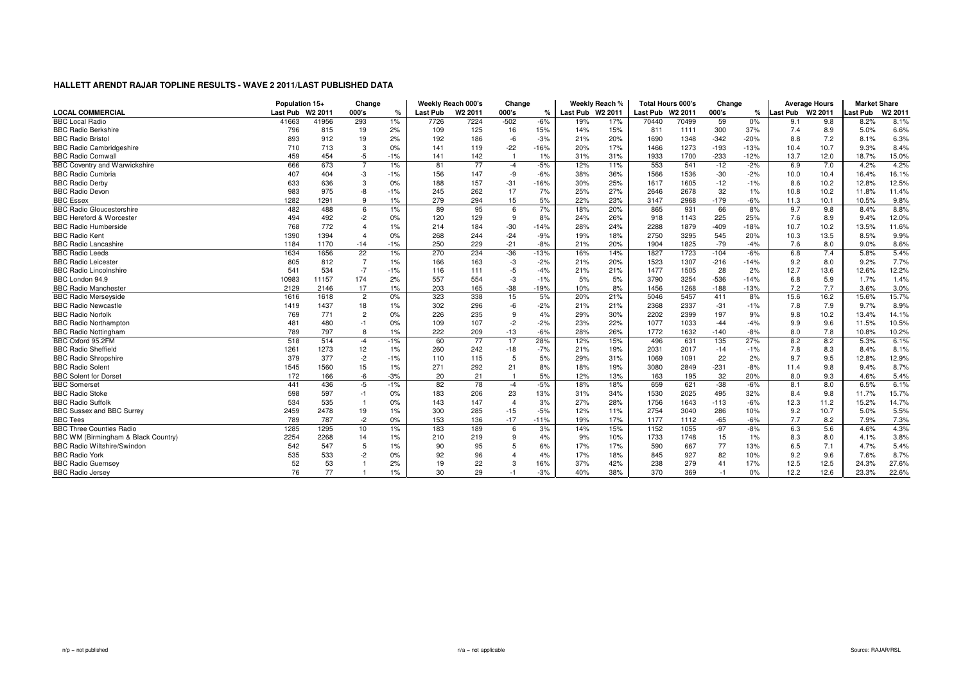|                                      | Population 15+   |       | Change         |       |                 | Weekly Reach 000's  | Change          |        |                  | Weekly Reach % |                  | <b>Total Hours 000's</b> | Change |        |                  | <b>Average Hours</b> | <b>Market Share</b> |                    |
|--------------------------------------|------------------|-------|----------------|-------|-----------------|---------------------|-----------------|--------|------------------|----------------|------------------|--------------------------|--------|--------|------------------|----------------------|---------------------|--------------------|
| <b>LOCAL COMMERCIAL</b>              | Last Pub W2 2011 |       | 000's          | %     | <b>Last Pub</b> | W <sub>2</sub> 2011 | 000's           | $\%$   | Last Pub W2 2011 |                | Last Pub W2 2011 |                          | 000's  | ℀      | Last Pub W2 2011 |                      | ast Pub             | W <sub>2</sub> 201 |
| <b>BBC Local Radio</b>               | 41663            | 41956 | 293            | 1%    | 7726            | 7224                | $-502$          | $-6%$  | 19%              | 17%            | 70440            | 70499                    | 59     | 0%     | 9.1              | 9.8                  | 8.2%                | 8.1%               |
| <b>BBC Radio Berkshire</b>           | 796              | 815   | 19             | 2%    | 109             | 125                 | 16              | 15%    | 14%              | 15%            | 811              | 1111                     | 300    | 37%    | 7.4              | 8.9                  | 5.0%                | 6.6%               |
| <b>BBC Radio Bristol</b>             | 893              | 912   | 19             | 2%    | 192             | 186                 | $-6$            | $-3%$  | 21%              | 20%            | 1690             | 1348                     | $-342$ | $-20%$ | 8.8              | 7.2                  | 8.1%                | 6.3%               |
| <b>BBC Radio Cambridgeshire</b>      | 710              | 713   | 3              | 0%    | 141             | 119                 | $-22$           | $-16%$ | 20%              | 17%            | 1466             | 1273                     | $-193$ | $-13%$ | 10.4             | 10.7                 | 9.3%                | 8.4%               |
| <b>BBC Radio Cornwall</b>            | 459              | 454   | $-5$           | $-1%$ | 141             | 142                 | $\overline{1}$  | 1%     | 31%              | 31%            | 1933             | 1700                     | $-233$ | $-12%$ | 13.7             | 12.0                 | 18.7%               | 15.0%              |
| <b>BBC Coventry and Warwickshire</b> | 666              | 673   |                | 1%    | 81              | 77                  | $-4$            | $-5%$  | 12%              | 11%            | 553              | 541                      | $-12$  | $-2%$  | 6.9              | 7.0                  | 4.2%                | 4.2%               |
| <b>BBC Radio Cumbria</b>             | 407              | 404   | -3             | $-1%$ | 156             | 147                 | -9              | $-6%$  | 38%              | 36%            | 1566             | 1536                     | $-30$  | $-2%$  | 10.0             | 10.4                 | 16.4%               | 16.1%              |
| <b>BBC Radio Derby</b>               | 633              | 636   | 3              | 0%    | 188             | 157                 | $-31$           | $-16%$ | 30%              | 25%            | 1617             | 1605                     | $-12$  | $-1%$  | 8.6              | 10.2                 | 12.8%               | 12.5%              |
| <b>BBC Radio Devon</b>               | 983              | 975   | -8             | $-1%$ | 245             | 262                 | 17              | 7%     | 25%              | 27%            | 2646             | 2678                     | 32     | 1%     | 10.8             | 10.2                 | 11.8%               | 11.4%              |
| <b>BBC Essex</b>                     | 1282             | 1291  | 9              | 1%    | 279             | 294                 | 15              | 5%     | 22%              | 23%            | 3147             | 2968                     | $-179$ | $-6%$  | 11.3             | 10.1                 | 10.5%               | 9.8%               |
| <b>BBC Radio Gloucestershire</b>     | 482              | 488   | 6              | 1%    | 89              | 95                  | 6               | 7%     | 18%              | 20%            | 865              | 931                      | 66     | 8%     | 9.7              | 9.8                  | 8.4%                | 8.8%               |
| <b>BBC Hereford &amp; Worcester</b>  | 494              | 492   | $-2$           | 0%    | 120             | 129                 | 9               | 8%     | 24%              | 26%            | 918              | 1143                     | 225    | 25%    | 7.6              | 8.9                  | 9.4%                | 12.0%              |
| <b>BBC Radio Humberside</b>          | 768              | 772   | $\Delta$       | 1%    | 214             | 184                 | $-30$           | $-14%$ | 28%              | 24%            | 2288             | 1879                     | $-409$ | $-18%$ | 10.7             | 10.2                 | 13.5%               | 11.6%              |
| <b>BBC Radio Kent</b>                | 1390             | 1394  |                | 0%    | 268             | 244                 | $-24$           | $-9%$  | 19%              | 18%            | 2750             | 3295                     | 545    | 20%    | 10.3             | 13.5                 | 8.5%                | 9.9%               |
| <b>BBC Radio Lancashire</b>          | 1184             | 1170  | $-14$          | $-1%$ | 250             | 229                 | $-21$           | $-8%$  | 21%              | 20%            | 1904             | 1825                     | $-79$  | $-4%$  | 7.6              | 8.0                  | 9.0%                | 8.6%               |
| <b>BBC Radio Leeds</b>               | 1634             | 1656  | 22             | 1%    | 270             | 234                 | $-36$           | $-13%$ | 16%              | 14%            | 1827             | 1723                     | $-104$ | $-6%$  | 6.8              | 7.4                  | 5.8%                | 5.4%               |
| <b>BBC Radio Leicester</b>           | 805              | 812   | $\overline{7}$ | 1%    | 166             | 163                 | -3              | $-2%$  | 21%              | 20%            | 1523             | 1307                     | $-216$ | $-14%$ | 9.2              | 8.0                  | 9.2%                | 7.7%               |
| <b>BBC Radio Lincolnshire</b>        | 541              | 534   | $-7$           | $-1%$ | 116             | 111                 | $-5$            | $-4%$  | 21%              | 21%            | 1477             | 1505                     | 28     | 2%     | 12.7             | 13.6                 | 12.6%               | 12.2%              |
| BBC London 94.9                      | 10983            | 11157 | 174            | 2%    | 557             | 554                 | -3              | $-1%$  | 5%               | 5%             | 3790             | 3254                     | $-536$ | $-14%$ | 6.8              | 5.9                  | 1.7%                | 1.4%               |
| <b>BBC Radio Manchester</b>          | 2129             | 2146  | 17             | 1%    | 203             | 165                 | $-38$           | $-19%$ | 10%              | 8%             | 1456             | 1268                     | $-188$ | $-13%$ | 7.2              | 7.7                  | 3.6%                | 3.0%               |
| <b>BBC Radio Merseyside</b>          | 1616             | 1618  | $\overline{c}$ | 0%    | 323             | 338                 | 15              | 5%     | 20%              | 21%            | 5046             | 5457                     | 411    | 8%     | 15.6             | 16.2                 | 15.6%               | 15.7%              |
| <b>BBC Radio Newcastle</b>           | 1419             | 1437  | 18             | 1%    | 302             | 296                 | $-6$            | $-2%$  | 21%              | 21%            | 2368             | 2337                     | $-31$  | $-1%$  | 7.8              | 7.9                  | 9.7%                | 8.9%               |
| <b>BBC Radio Norfolk</b>             | 769              | 771   | $\overline{c}$ | 0%    | 226             | 235                 | 9               | 4%     | 29%              | 30%            | 2202             | 2399                     | 197    | 9%     | 9.8              | 10.2                 | 13.4%               | 14.1%              |
| <b>BBC Radio Northampton</b>         | 481              | 480   | $-1$           | 0%    | 109             | 107                 | $-2$            | $-2%$  | 23%              | 22%            | 1077             | 1033                     | $-44$  | $-4%$  | 9.9              | 9.6                  | 11.5%               | 10.5%              |
| <b>BBC Radio Nottingham</b>          | 789              | 797   | 8              | 1%    | 222             | 209                 | $-13$           | $-6%$  | 28%              | 26%            | 1772             | 1632                     | $-140$ | $-8%$  | 8.0              | 7.8                  | 10.8%               | 10.2%              |
| BBC Oxford 95.2FM                    | 518              | 514   | $-4$           | $-1%$ | 60              | 77                  | $\overline{17}$ | 28%    | 12%              | 15%            | 496              | 631                      | 135    | 27%    | 8.2              | 8.2                  | 5.3%                | 6.1%               |
| <b>BBC Radio Sheffield</b>           | 1261             | 1273  | 12             | 1%    | 260             | 242                 | $-18$           | $-7%$  | 21%              | 19%            | 2031             | 2017                     | $-14$  | $-1%$  | 7.8              | 8.3                  | 8.4%                | 8.1%               |
| <b>BBC Radio Shropshire</b>          | 379              | 377   | $-2$           | $-1%$ | 110             | 115                 | 5               | 5%     | 29%              | 31%            | 1069             | 1091                     | 22     | 2%     | 9.7              | 9.5                  | 12.8%               | 12.9%              |
| <b>BBC Radio Solent</b>              | 1545             | 1560  | 15             | 1%    | 271             | 292                 | 21              | 8%     | 18%              | 19%            | 3080             | 2849                     | $-231$ | $-8%$  | 11.4             | 9.8                  | 9.4%                | 8.7%               |
| <b>BBC Solent for Dorset</b>         | 172              | 166   | $-6$           | $-3%$ | 20              | 21                  | $\overline{1}$  | 5%     | 12%              | 13%            | 163              | 195                      | 32     | 20%    | 8.0              | 9.3                  | 4.6%                | 5.4%               |
| <b>BBC</b> Somerset                  | 441              | 436   | $-5$           | $-1%$ | 82              | 78                  | $-4$            | $-5%$  | 18%              | 18%            | 659              | 621                      | $-38$  | $-6%$  | 8.1              | 8.0                  | 6.5%                | 6.1%               |
| <b>BBC Radio Stoke</b>               | 598              | 597   | $-1$           | 0%    | 183             | 206                 | 23              | 13%    | 31%              | 34%            | 1530             | 2025                     | 495    | 32%    | 8.4              | 9.8                  | 11.7%               | 15.7%              |
| <b>BBC Radio Suffolk</b>             | 534              | 535   |                | 0%    | 143             | 147                 | $\overline{4}$  | 3%     | 27%              | 28%            | 1756             | 1643                     | $-113$ | $-6%$  | 12.3             | 11.2                 | 15.2%               | 14.7%              |
| BBC Sussex and BBC Surrey            | 2459             | 2478  | 19             | 1%    | 300             | 285                 | $-15$           | $-5%$  | 12%              | 11%            | 2754             | 3040                     | 286    | 10%    | 9.2              | 10.7                 | 5.0%                | 5.5%               |
| <b>BBC Tees</b>                      | 789              | 787   | $-2$           | 0%    | 153             | 136                 | $-17$           | $-11%$ | 19%              | 17%            | 1177             | 1112                     | $-65$  | $-6%$  | 7.7              | 8.2                  | 7.9%                | 7.3%               |
| <b>BBC Three Counties Radio</b>      | 1285             | 1295  | 10             | 1%    | 183             | 189                 | 6               | 3%     | 14%              | 15%            | 1152             | 1055                     | $-97$  | $-8%$  | 6.3              | 5.6                  | 4.6%                | 4.3%               |
| BBC WM (Birmingham & Black Country)  | 2254             | 2268  | 14             | 1%    | 210             | 219                 | 9               | 4%     | 9%               | 10%            | 1733             | 1748                     | 15     | 1%     | 8.3              | 8.0                  | 4.1%                | 3.8%               |
| <b>BBC Radio Wiltshire/Swindon</b>   | 542              | 547   | 5              | 1%    | 90              | 95                  | 5               | 6%     | 17%              | 17%            | 590              | 667                      | 77     | 13%    | 6.5              | 7.1                  | 4.7%                | 5.4%               |
| <b>BBC Radio York</b>                | 535              | 533   | $-2$           | 0%    | 92              | 96                  | $\overline{4}$  | 4%     | 17%              | 18%            | 845              | 927                      | 82     | 10%    | 9.2              | 9.6                  | 7.6%                | 8.7%               |
| <b>BBC Radio Guernsey</b>            | 52               | 53    |                | 2%    | 19              | 22                  | 3               | 16%    | 37%              | 42%            | 238              | 279                      | 41     | 17%    | 12.5             | 12.5                 | 24.3%               | 27.6%              |
| <b>BBC Radio Jersey</b>              | 76               | 77    |                | 1%    | 30              | 29                  | $-1$            | $-3%$  | 40%              | 38%            | 370              | 369                      | $-1$   | 0%     | 12.2             | 12.6                 | 23.3%               | 22.6%              |